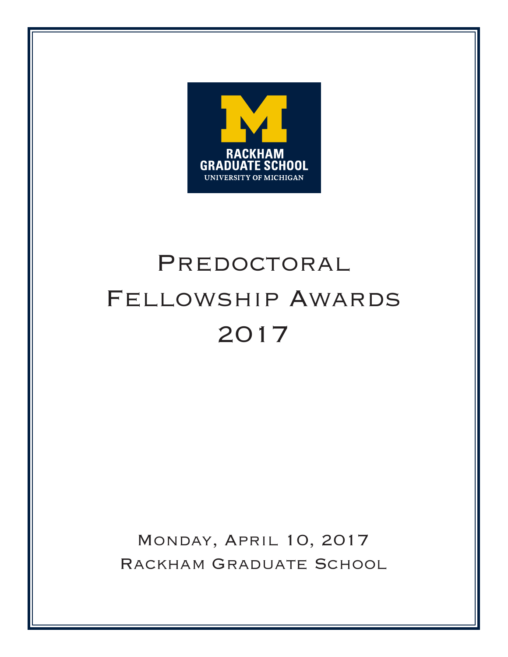

# PREDOCTORAL Fellowship Awards 2017

Monday, April 10, 2017 Rackham Graduate School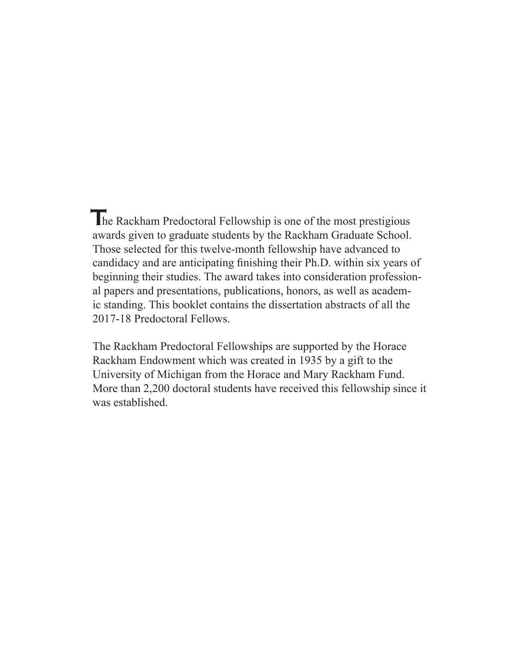The Rackham Predoctoral Fellowship is one of the most prestigious awards given to graduate students by the Rackham Graduate School. Those selected for this twelve-month fellowship have advanced to candidacy and are anticipating finishing their Ph.D. within six years of beginning their studies. The award takes into consideration professional papers and presentations, publications, honors, as well as academic standing. This booklet contains the dissertation abstracts of all the 2017-18 Predoctoral Fellows.

The Rackham Predoctoral Fellowships are supported by the Horace Rackham Endowment which was created in 1935 by a gift to the University of Michigan from the Horace and Mary Rackham Fund. More than 2,200 doctoral students have received this fellowship since it was established.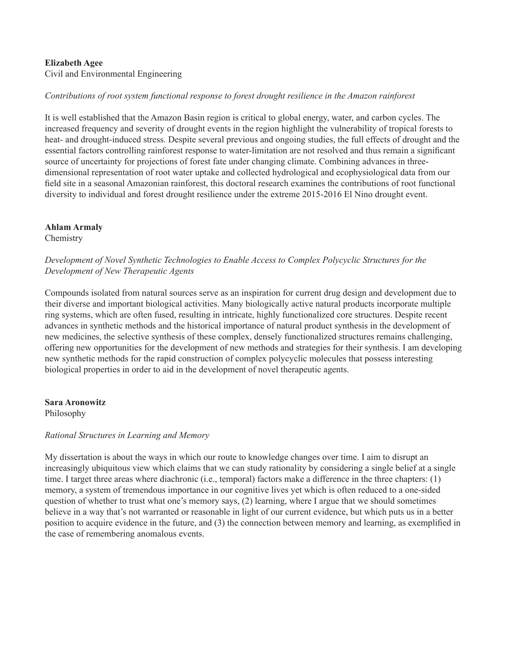# **Elizabeth Agee**

Civil and Environmental Engineering

# *Contributions of root system functional response to forest drought resilience in the Amazon rainforest*

It is well established that the Amazon Basin region is critical to global energy, water, and carbon cycles. The increased frequency and severity of drought events in the region highlight the vulnerability of tropical forests to heat- and drought-induced stress. Despite several previous and ongoing studies, the full effects of drought and the essential factors controlling rainforest response to water-limitation are not resolved and thus remain a significant source of uncertainty for projections of forest fate under changing climate. Combining advances in threedimensional representation of root water uptake and collected hydrological and ecophysiological data from our field site in a seasonal Amazonian rainforest, this doctoral research examines the contributions of root functional diversity to individual and forest drought resilience under the extreme 2015-2016 El Nino drought event.

#### **Ahlam Armaly**

Chemistry

# *Development of Novel Synthetic Technologies to Enable Access to Complex Polycyclic Structures for the Development of New Therapeutic Agents*

Compounds isolated from natural sources serve as an inspiration for current drug design and development due to their diverse and important biological activities. Many biologically active natural products incorporate multiple ring systems, which are often fused, resulting in intricate, highly functionalized core structures. Despite recent advances in synthetic methods and the historical importance of natural product synthesis in the development of new medicines, the selective synthesis of these complex, densely functionalized structures remains challenging, offering new opportunities for the development of new methods and strategies for their synthesis. I am developing new synthetic methods for the rapid construction of complex polycyclic molecules that possess interesting biological properties in order to aid in the development of novel therapeutic agents.

#### **Sara Aronowitz**

Philosophy

# *Rational Structures in Learning and Memory*

My dissertation is about the ways in which our route to knowledge changes over time. I aim to disrupt an increasingly ubiquitous view which claims that we can study rationality by considering a single belief at a single time. I target three areas where diachronic (i.e., temporal) factors make a difference in the three chapters: (1) memory, a system of tremendous importance in our cognitive lives yet which is often reduced to a one-sided question of whether to trust what one's memory says, (2) learning, where I argue that we should sometimes believe in a way that's not warranted or reasonable in light of our current evidence, but which puts us in a better position to acquire evidence in the future, and (3) the connection between memory and learning, as exemplified in the case of remembering anomalous events.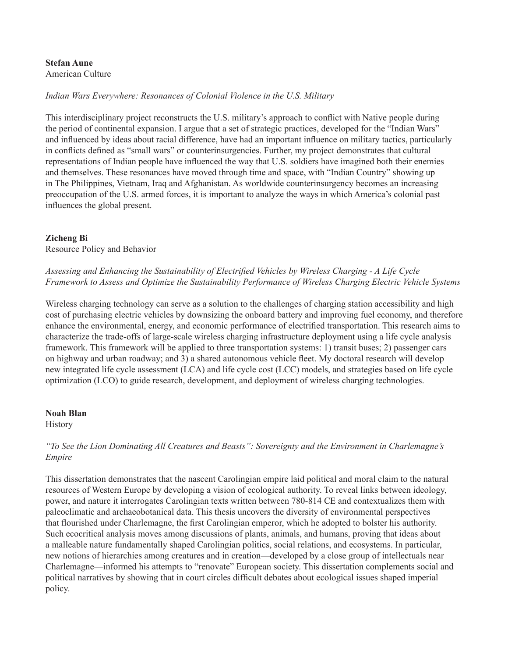#### **Stefan Aune** American Culture

# *Indian Wars Everywhere: Resonances of Colonial Violence in the U.S. Military*

This interdisciplinary project reconstructs the U.S. military's approach to conflict with Native people during the period of continental expansion. I argue that a set of strategic practices, developed for the "Indian Wars" and influenced by ideas about racial difference, have had an important influence on military tactics, particularly in conflicts defined as "small wars" or counterinsurgencies. Further, my project demonstrates that cultural representations of Indian people have influenced the way that U.S. soldiers have imagined both their enemies and themselves. These resonances have moved through time and space, with "Indian Country" showing up in The Philippines, Vietnam, Iraq and Afghanistan. As worldwide counterinsurgency becomes an increasing preoccupation of the U.S. armed forces, it is important to analyze the ways in which America's colonial past influences the global present.

#### **Zicheng Bi**

Resource Policy and Behavior

# *Assessing and Enhancing the Sustainability of Electrified Vehicles by Wireless Charging - A Life Cycle Framework to Assess and Optimize the Sustainability Performance of Wireless Charging Electric Vehicle Systems*

Wireless charging technology can serve as a solution to the challenges of charging station accessibility and high cost of purchasing electric vehicles by downsizing the onboard battery and improving fuel economy, and therefore enhance the environmental, energy, and economic performance of electrified transportation. This research aims to characterize the trade-offs of large-scale wireless charging infrastructure deployment using a life cycle analysis framework. This framework will be applied to three transportation systems: 1) transit buses; 2) passenger cars on highway and urban roadway; and 3) a shared autonomous vehicle fleet. My doctoral research will develop new integrated life cycle assessment (LCA) and life cycle cost (LCC) models, and strategies based on life cycle optimization (LCO) to guide research, development, and deployment of wireless charging technologies.

#### **Noah Blan**

**History** 

# *"To See the Lion Dominating All Creatures and Beasts": Sovereignty and the Environment in Charlemagne's Empire*

This dissertation demonstrates that the nascent Carolingian empire laid political and moral claim to the natural resources of Western Europe by developing a vision of ecological authority. To reveal links between ideology, power, and nature it interrogates Carolingian texts written between 780-814 CE and contextualizes them with paleoclimatic and archaeobotanical data. This thesis uncovers the diversity of environmental perspectives that flourished under Charlemagne, the first Carolingian emperor, which he adopted to bolster his authority. Such ecocritical analysis moves among discussions of plants, animals, and humans, proving that ideas about a malleable nature fundamentally shaped Carolingian politics, social relations, and ecosystems. In particular, new notions of hierarchies among creatures and in creation—developed by a close group of intellectuals near Charlemagne—informed his attempts to "renovate" European society. This dissertation complements social and political narratives by showing that in court circles difficult debates about ecological issues shaped imperial policy.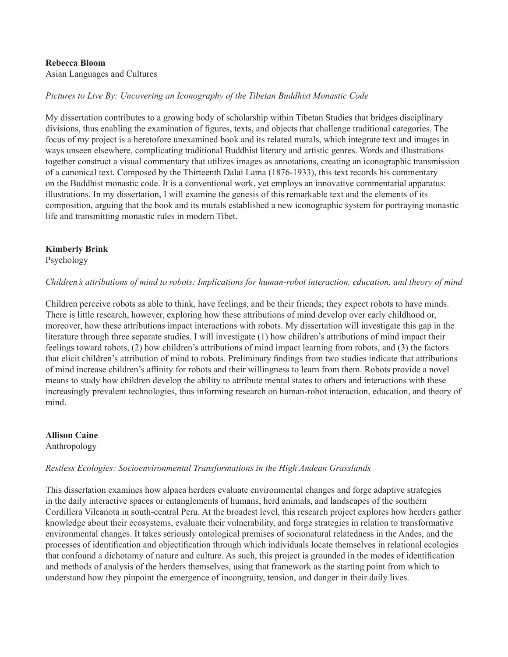#### **Rebecca Bloom** Asian Languages and Cultures

# *Pictures to Live By: Uncovering an Iconography of the Tibetan Buddhist Monastic Code*

My dissertation contributes to a growing body of scholarship within Tibetan Studies that bridges disciplinary divisions, thus enabling the examination of figures, texts, and objects that challenge traditional categories. The focus of my project is a heretofore unexamined book and its related murals, which integrate text and images in ways unseen elsewhere, complicating traditional Buddhist literary and artistic genres. Words and illustrations together construct a visual commentary that utilizes images as annotations, creating an iconographic transmission of a canonical text. Composed by the Thirteenth Dalai Lama (1876-1933), this text records his commentary on the Buddhist monastic code. It is a conventional work, yet employs an innovative commentarial apparatus: illustrations. In my dissertation, I will examine the genesis of this remarkable text and the elements of its composition, arguing that the book and its murals established a new iconographic system for portraying monastic life and transmitting monastic rules in modern Tibet.

# **Kimberly Brink**

Psychology

# *Children's attributions of mind to robots: Implications for human-robot interaction, education, and theory of mind*

Children perceive robots as able to think, have feelings, and be their friends; they expect robots to have minds. There is little research, however, exploring how these attributions of mind develop over early childhood or, moreover, how these attributions impact interactions with robots. My dissertation will investigate this gap in the literature through three separate studies. I will investigate (1) how children's attributions of mind impact their feelings toward robots, (2) how children's attributions of mind impact learning from robots, and (3) the factors that elicit children's attribution of mind to robots. Preliminary findings from two studies indicate that attributions of mind increase children's affinity for robots and their willingness to learn from them. Robots provide a novel means to study how children develop the ability to attribute mental states to others and interactions with these increasingly prevalent technologies, thus informing research on human-robot interaction, education, and theory of mind.

**Allison Caine** Anthropology

# *Restless Ecologies: Socioenvironmental Transformations in the High Andean Grasslands*

This dissertation examines how alpaca herders evaluate environmental changes and forge adaptive strategies in the daily interactive spaces or entanglements of humans, herd animals, and landscapes of the southern Cordillera Vilcanota in south-central Peru. At the broadest level, this research project explores how herders gather knowledge about their ecosystems, evaluate their vulnerability, and forge strategies in relation to transformative environmental changes. It takes seriously ontological premises of socionatural relatedness in the Andes, and the processes of identification and objectification through which individuals locate themselves in relational ecologies that confound a dichotomy of nature and culture. As such, this project is grounded in the modes of identification and methods of analysis of the herders themselves, using that framework as the starting point from which to understand how they pinpoint the emergence of incongruity, tension, and danger in their daily lives.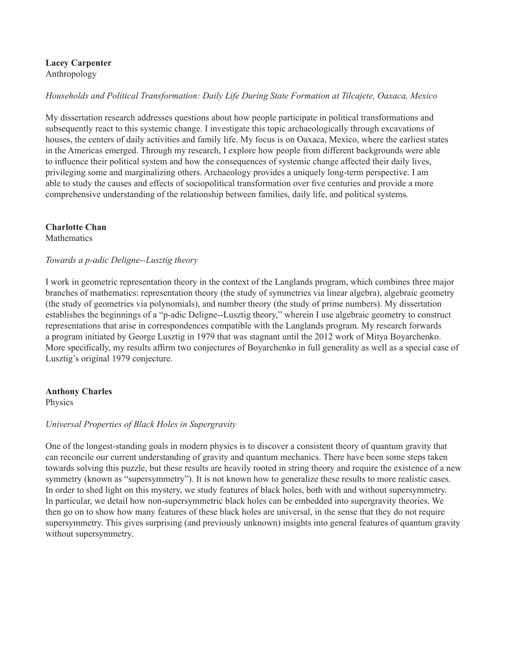**Lacey Carpenter** Anthropology

# *Households and Political Transformation: Daily Life During State Formation at Tilcajete, Oaxaca, Mexico*

My dissertation research addresses questions about how people participate in political transformations and subsequently react to this systemic change. I investigate this topic archaeologically through excavations of houses, the centers of daily activities and family life. My focus is on Oaxaca, Mexico, where the earliest states in the Americas emerged. Through my research, I explore how people from different backgrounds were able to influence their political system and how the consequences of systemic change affected their daily lives, privileging some and marginalizing others. Archaeology provides a uniquely long-term perspective. I am able to study the causes and effects of sociopolitical transformation over five centuries and provide a more comprehensive understanding of the relationship between families, daily life, and political systems.

# **Charlotte Chan**

**Mathematics** 

# *Towards a p-adic Deligne--Lusztig theory*

I work in geometric representation theory in the context of the Langlands program, which combines three major branches of mathematics: representation theory (the study of symmetries via linear algebra), algebraic geometry (the study of geometries via polynomials), and number theory (the study of prime numbers). My dissertation establishes the beginnings of a "p-adic Deligne--Lusztig theory," wherein I use algebraic geometry to construct representations that arise in correspondences compatible with the Langlands program. My research forwards a program initiated by George Lusztig in 1979 that was stagnant until the 2012 work of Mitya Boyarchenko. More specifically, my results affirm two conjectures of Boyarchenko in full generality as well as a special case of Lusztig's original 1979 conjecture.

#### **Anthony Charles**

Physics

# *Universal Properties of Black Holes in Supergravity*

One of the longest-standing goals in modern physics is to discover a consistent theory of quantum gravity that can reconcile our current understanding of gravity and quantum mechanics. There have been some steps taken towards solving this puzzle, but these results are heavily rooted in string theory and require the existence of a new symmetry (known as "supersymmetry"). It is not known how to generalize these results to more realistic cases. In order to shed light on this mystery, we study features of black holes, both with and without supersymmetry. In particular, we detail how non-supersymmetric black holes can be embedded into supergravity theories. We then go on to show how many features of these black holes are universal, in the sense that they do not require supersymmetry. This gives surprising (and previously unknown) insights into general features of quantum gravity without supersymmetry.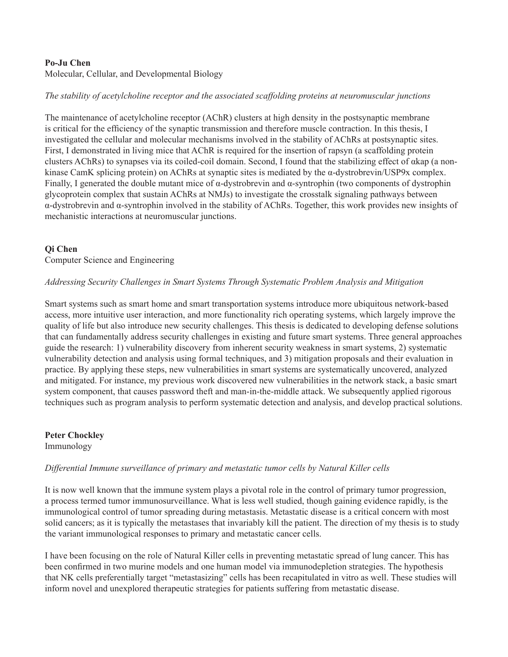# **Po-Ju Chen**

Molecular, Cellular, and Developmental Biology

# *The stability of acetylcholine receptor and the associated scaffolding proteins at neuromuscular junctions*

The maintenance of acetylcholine receptor (AChR) clusters at high density in the postsynaptic membrane is critical for the efficiency of the synaptic transmission and therefore muscle contraction. In this thesis, I investigated the cellular and molecular mechanisms involved in the stability of AChRs at postsynaptic sites. First, I demonstrated in living mice that AChR is required for the insertion of rapsyn (a scaffolding protein clusters AChRs) to synapses via its coiled-coil domain. Second, I found that the stabilizing effect of αkap (a nonkinase CamK splicing protein) on AChRs at synaptic sites is mediated by the  $\alpha$ -dystrobrevin/USP9x complex. Finally, I generated the double mutant mice of  $\alpha$ -dystrobrevin and  $\alpha$ -syntrophin (two components of dystrophin glycoprotein complex that sustain AChRs at NMJs) to investigate the crosstalk signaling pathways between α-dystrobrevin and α-syntrophin involved in the stability of AChRs. Together, this work provides new insights of mechanistic interactions at neuromuscular junctions.

# **Qi Chen**

Computer Science and Engineering

#### *Addressing Security Challenges in Smart Systems Through Systematic Problem Analysis and Mitigation*

Smart systems such as smart home and smart transportation systems introduce more ubiquitous network-based access, more intuitive user interaction, and more functionality rich operating systems, which largely improve the quality of life but also introduce new security challenges. This thesis is dedicated to developing defense solutions that can fundamentally address security challenges in existing and future smart systems. Three general approaches guide the research: 1) vulnerability discovery from inherent security weakness in smart systems, 2) systematic vulnerability detection and analysis using formal techniques, and 3) mitigation proposals and their evaluation in practice. By applying these steps, new vulnerabilities in smart systems are systematically uncovered, analyzed and mitigated. For instance, my previous work discovered new vulnerabilities in the network stack, a basic smart system component, that causes password theft and man-in-the-middle attack. We subsequently applied rigorous techniques such as program analysis to perform systematic detection and analysis, and develop practical solutions.

**Peter Chockley** Immunology

#### *Differential Immune surveillance of primary and metastatic tumor cells by Natural Killer cells*

It is now well known that the immune system plays a pivotal role in the control of primary tumor progression, a process termed tumor immunosurveillance. What is less well studied, though gaining evidence rapidly, is the immunological control of tumor spreading during metastasis. Metastatic disease is a critical concern with most solid cancers; as it is typically the metastases that invariably kill the patient. The direction of my thesis is to study the variant immunological responses to primary and metastatic cancer cells.

I have been focusing on the role of Natural Killer cells in preventing metastatic spread of lung cancer. This has been confirmed in two murine models and one human model via immunodepletion strategies. The hypothesis that NK cells preferentially target "metastasizing" cells has been recapitulated in vitro as well. These studies will inform novel and unexplored therapeutic strategies for patients suffering from metastatic disease.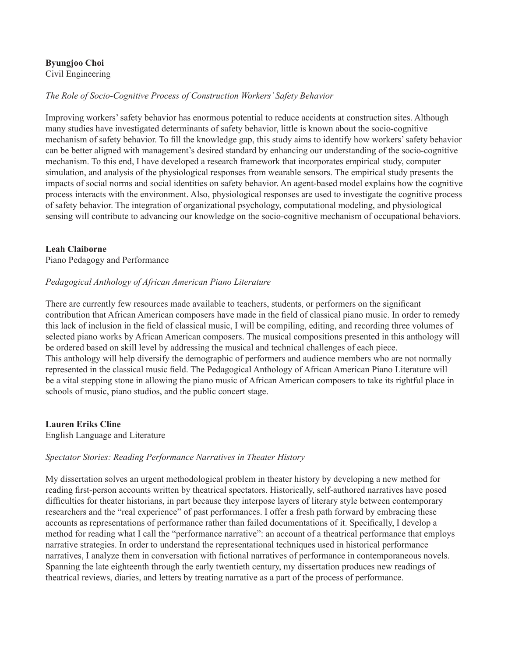# **Byungjoo Choi**

Civil Engineering

# *The Role of Socio-Cognitive Process of Construction Workers' Safety Behavior*

Improving workers' safety behavior has enormous potential to reduce accidents at construction sites. Although many studies have investigated determinants of safety behavior, little is known about the socio-cognitive mechanism of safety behavior. To fill the knowledge gap, this study aims to identify how workers' safety behavior can be better aligned with management's desired standard by enhancing our understanding of the socio-cognitive mechanism. To this end, I have developed a research framework that incorporates empirical study, computer simulation, and analysis of the physiological responses from wearable sensors. The empirical study presents the impacts of social norms and social identities on safety behavior. An agent-based model explains how the cognitive process interacts with the environment. Also, physiological responses are used to investigate the cognitive process of safety behavior. The integration of organizational psychology, computational modeling, and physiological sensing will contribute to advancing our knowledge on the socio-cognitive mechanism of occupational behaviors.

# **Leah Claiborne**

Piano Pedagogy and Performance

# *Pedagogical Anthology of African American Piano Literature*

There are currently few resources made available to teachers, students, or performers on the significant contribution that African American composers have made in the field of classical piano music. In order to remedy this lack of inclusion in the field of classical music, I will be compiling, editing, and recording three volumes of selected piano works by African American composers. The musical compositions presented in this anthology will be ordered based on skill level by addressing the musical and technical challenges of each piece. This anthology will help diversify the demographic of performers and audience members who are not normally represented in the classical music field. The Pedagogical Anthology of African American Piano Literature will be a vital stepping stone in allowing the piano music of African American composers to take its rightful place in schools of music, piano studios, and the public concert stage.

# **Lauren Eriks Cline**

English Language and Literature

# *Spectator Stories: Reading Performance Narratives in Theater History*

My dissertation solves an urgent methodological problem in theater history by developing a new method for reading first-person accounts written by theatrical spectators. Historically, self-authored narratives have posed difficulties for theater historians, in part because they interpose layers of literary style between contemporary researchers and the "real experience" of past performances. I offer a fresh path forward by embracing these accounts as representations of performance rather than failed documentations of it. Specifically, I develop a method for reading what I call the "performance narrative": an account of a theatrical performance that employs narrative strategies. In order to understand the representational techniques used in historical performance narratives, I analyze them in conversation with fictional narratives of performance in contemporaneous novels. Spanning the late eighteenth through the early twentieth century, my dissertation produces new readings of theatrical reviews, diaries, and letters by treating narrative as a part of the process of performance.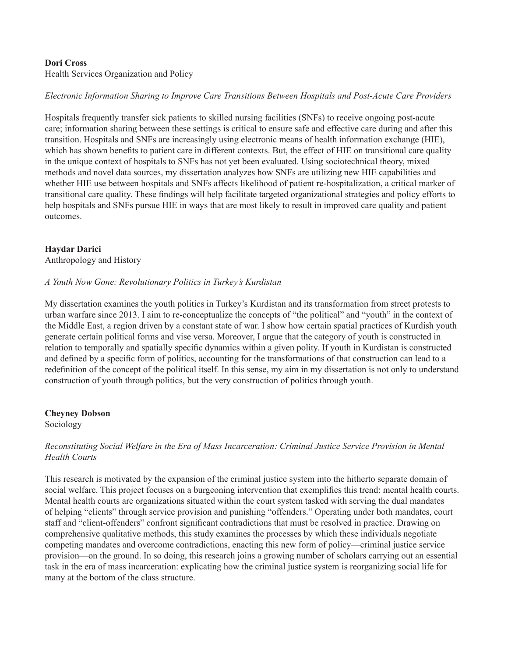# **Dori Cross**

Health Services Organization and Policy

# *Electronic Information Sharing to Improve Care Transitions Between Hospitals and Post-Acute Care Providers*

Hospitals frequently transfer sick patients to skilled nursing facilities (SNFs) to receive ongoing post-acute care; information sharing between these settings is critical to ensure safe and effective care during and after this transition. Hospitals and SNFs are increasingly using electronic means of health information exchange (HIE), which has shown benefits to patient care in different contexts. But, the effect of HIE on transitional care quality in the unique context of hospitals to SNFs has not yet been evaluated. Using sociotechnical theory, mixed methods and novel data sources, my dissertation analyzes how SNFs are utilizing new HIE capabilities and whether HIE use between hospitals and SNFs affects likelihood of patient re-hospitalization, a critical marker of transitional care quality. These findings will help facilitate targeted organizational strategies and policy efforts to help hospitals and SNFs pursue HIE in ways that are most likely to result in improved care quality and patient outcomes.

# **Haydar Darici**

Anthropology and History

#### *A Youth Now Gone: Revolutionary Politics in Turkey's Kurdistan*

My dissertation examines the youth politics in Turkey's Kurdistan and its transformation from street protests to urban warfare since 2013. I aim to re-conceptualize the concepts of "the political" and "youth" in the context of the Middle East, a region driven by a constant state of war. I show how certain spatial practices of Kurdish youth generate certain political forms and vise versa. Moreover, I argue that the category of youth is constructed in relation to temporally and spatially specific dynamics within a given polity. If youth in Kurdistan is constructed and defined by a specific form of politics, accounting for the transformations of that construction can lead to a redefinition of the concept of the political itself. In this sense, my aim in my dissertation is not only to understand construction of youth through politics, but the very construction of politics through youth.

#### **Cheyney Dobson**

Sociology

# *Reconstituting Social Welfare in the Era of Mass Incarceration: Criminal Justice Service Provision in Mental Health Courts*

This research is motivated by the expansion of the criminal justice system into the hitherto separate domain of social welfare. This project focuses on a burgeoning intervention that exemplifies this trend: mental health courts. Mental health courts are organizations situated within the court system tasked with serving the dual mandates of helping "clients" through service provision and punishing "offenders." Operating under both mandates, court staff and "client-offenders" confront significant contradictions that must be resolved in practice. Drawing on comprehensive qualitative methods, this study examines the processes by which these individuals negotiate competing mandates and overcome contradictions, enacting this new form of policy—criminal justice service provision—on the ground. In so doing, this research joins a growing number of scholars carrying out an essential task in the era of mass incarceration: explicating how the criminal justice system is reorganizing social life for many at the bottom of the class structure.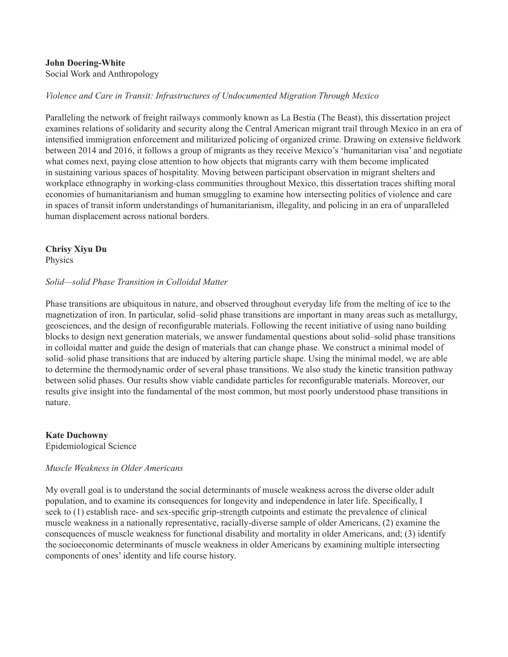# **John Doering-White**

Social Work and Anthropology

# *Violence and Care in Transit: Infrastructures of Undocumented Migration Through Mexico*

Paralleling the network of freight railways commonly known as La Bestia (The Beast), this dissertation project examines relations of solidarity and security along the Central American migrant trail through Mexico in an era of intensified immigration enforcement and militarized policing of organized crime. Drawing on extensive fieldwork between 2014 and 2016, it follows a group of migrants as they receive Mexico's 'humanitarian visa' and negotiate what comes next, paying close attention to how objects that migrants carry with them become implicated in sustaining various spaces of hospitality. Moving between participant observation in migrant shelters and workplace ethnography in working-class communities throughout Mexico, this dissertation traces shifting moral economies of humanitarianism and human smuggling to examine how intersecting politics of violence and care in spaces of transit inform understandings of humanitarianism, illegality, and policing in an era of unparalleled human displacement across national borders.

# **Chrisy Xiyu Du**

Physics

#### *Solid—solid Phase Transition in Colloidal Matter*

Phase transitions are ubiquitous in nature, and observed throughout everyday life from the melting of ice to the magnetization of iron. In particular, solid–solid phase transitions are important in many areas such as metallurgy, geosciences, and the design of reconfigurable materials. Following the recent initiative of using nano building blocks to design next generation materials, we answer fundamental questions about solid–solid phase transitions in colloidal matter and guide the design of materials that can change phase. We construct a minimal model of solid–solid phase transitions that are induced by altering particle shape. Using the minimal model, we are able to determine the thermodynamic order of several phase transitions. We also study the kinetic transition pathway between solid phases. Our results show viable candidate particles for reconfigurable materials. Moreover, our results give insight into the fundamental of the most common, but most poorly understood phase transitions in nature.

**Kate Duchowny** Epidemiological Science

#### *Muscle Weakness in Older Americans*

My overall goal is to understand the social determinants of muscle weakness across the diverse older adult population, and to examine its consequences for longevity and independence in later life. Specifically, I seek to (1) establish race- and sex-specific grip-strength cutpoints and estimate the prevalence of clinical muscle weakness in a nationally representative, racially-diverse sample of older Americans, (2) examine the consequences of muscle weakness for functional disability and mortality in older Americans, and; (3) identify the socioeconomic determinants of muscle weakness in older Americans by examining multiple intersecting components of ones' identity and life course history.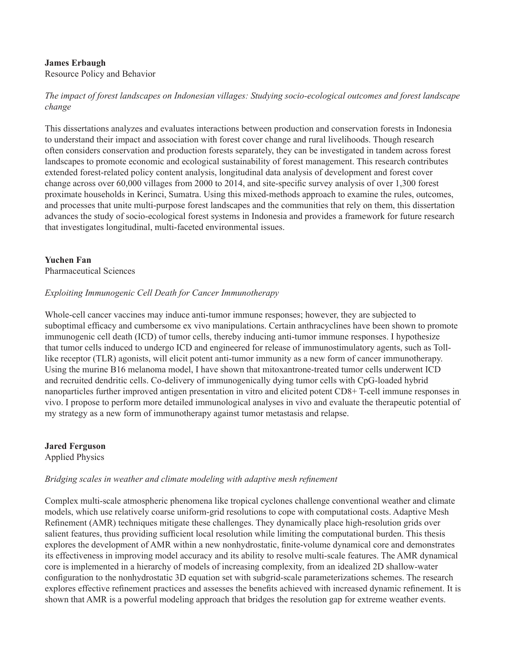# **James Erbaugh**

Resource Policy and Behavior

*The impact of forest landscapes on Indonesian villages: Studying socio-ecological outcomes and forest landscape change*

This dissertations analyzes and evaluates interactions between production and conservation forests in Indonesia to understand their impact and association with forest cover change and rural livelihoods. Though research often considers conservation and production forests separately, they can be investigated in tandem across forest landscapes to promote economic and ecological sustainability of forest management. This research contributes extended forest-related policy content analysis, longitudinal data analysis of development and forest cover change across over 60,000 villages from 2000 to 2014, and site-specific survey analysis of over 1,300 forest proximate households in Kerinci, Sumatra. Using this mixed-methods approach to examine the rules, outcomes, and processes that unite multi-purpose forest landscapes and the communities that rely on them, this dissertation advances the study of socio-ecological forest systems in Indonesia and provides a framework for future research that investigates longitudinal, multi-faceted environmental issues.

# **Yuchen Fan**

Pharmaceutical Sciences

#### *Exploiting Immunogenic Cell Death for Cancer Immunotherapy*

Whole-cell cancer vaccines may induce anti-tumor immune responses; however, they are subjected to suboptimal efficacy and cumbersome ex vivo manipulations. Certain anthracyclines have been shown to promote immunogenic cell death (ICD) of tumor cells, thereby inducing anti-tumor immune responses. I hypothesize that tumor cells induced to undergo ICD and engineered for release of immunostimulatory agents, such as Tolllike receptor (TLR) agonists, will elicit potent anti-tumor immunity as a new form of cancer immunotherapy. Using the murine B16 melanoma model, I have shown that mitoxantrone-treated tumor cells underwent ICD and recruited dendritic cells. Co-delivery of immunogenically dying tumor cells with CpG-loaded hybrid nanoparticles further improved antigen presentation in vitro and elicited potent CD8+ T-cell immune responses in vivo. I propose to perform more detailed immunological analyses in vivo and evaluate the therapeutic potential of my strategy as a new form of immunotherapy against tumor metastasis and relapse.

# **Jared Ferguson**

Applied Physics

#### *Bridging scales in weather and climate modeling with adaptive mesh refinement*

Complex multi-scale atmospheric phenomena like tropical cyclones challenge conventional weather and climate models, which use relatively coarse uniform-grid resolutions to cope with computational costs. Adaptive Mesh Refinement (AMR) techniques mitigate these challenges. They dynamically place high-resolution grids over salient features, thus providing sufficient local resolution while limiting the computational burden. This thesis explores the development of AMR within a new nonhydrostatic, finite-volume dynamical core and demonstrates its effectiveness in improving model accuracy and its ability to resolve multi-scale features. The AMR dynamical core is implemented in a hierarchy of models of increasing complexity, from an idealized 2D shallow-water configuration to the nonhydrostatic 3D equation set with subgrid-scale parameterizations schemes. The research explores effective refinement practices and assesses the benefits achieved with increased dynamic refinement. It is shown that AMR is a powerful modeling approach that bridges the resolution gap for extreme weather events.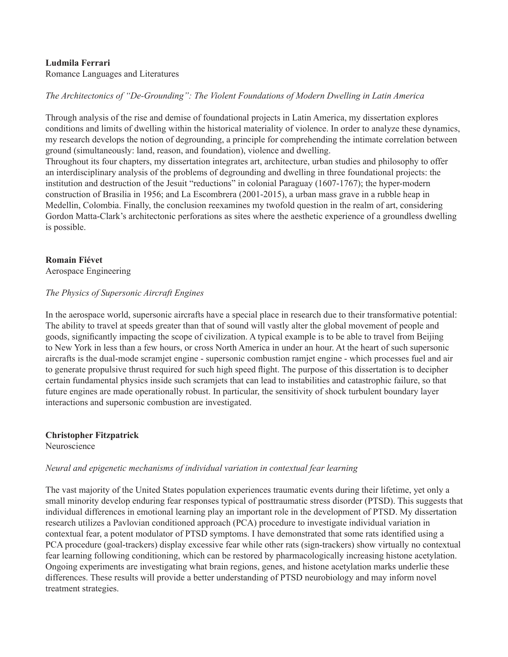#### **Ludmila Ferrari**

Romance Languages and Literatures

*The Architectonics of "De-Grounding": The Violent Foundations of Modern Dwelling in Latin America*

Through analysis of the rise and demise of foundational projects in Latin America, my dissertation explores conditions and limits of dwelling within the historical materiality of violence. In order to analyze these dynamics, my research develops the notion of degrounding, a principle for comprehending the intimate correlation between ground (simultaneously: land, reason, and foundation), violence and dwelling.

Throughout its four chapters, my dissertation integrates art, architecture, urban studies and philosophy to offer an interdisciplinary analysis of the problems of degrounding and dwelling in three foundational projects: the institution and destruction of the Jesuit "reductions" in colonial Paraguay (1607-1767); the hyper-modern construction of Brasilia in 1956; and La Escombrera (2001-2015), a urban mass grave in a rubble heap in Medellin, Colombia. Finally, the conclusion reexamines my twofold question in the realm of art, considering Gordon Matta-Clark's architectonic perforations as sites where the aesthetic experience of a groundless dwelling is possible.

# **Romain Fiévet**

Aerospace Engineering

#### *The Physics of Supersonic Aircraft Engines*

In the aerospace world, supersonic aircrafts have a special place in research due to their transformative potential: The ability to travel at speeds greater than that of sound will vastly alter the global movement of people and goods, significantly impacting the scope of civilization. A typical example is to be able to travel from Beijing to New York in less than a few hours, or cross North America in under an hour. At the heart of such supersonic aircrafts is the dual-mode scramjet engine - supersonic combustion ramjet engine - which processes fuel and air to generate propulsive thrust required for such high speed flight. The purpose of this dissertation is to decipher certain fundamental physics inside such scramjets that can lead to instabilities and catastrophic failure, so that future engines are made operationally robust. In particular, the sensitivity of shock turbulent boundary layer interactions and supersonic combustion are investigated.

**Christopher Fitzpatrick** Neuroscience

#### *Neural and epigenetic mechanisms of individual variation in contextual fear learning*

The vast majority of the United States population experiences traumatic events during their lifetime, yet only a small minority develop enduring fear responses typical of posttraumatic stress disorder (PTSD). This suggests that individual differences in emotional learning play an important role in the development of PTSD. My dissertation research utilizes a Pavlovian conditioned approach (PCA) procedure to investigate individual variation in contextual fear, a potent modulator of PTSD symptoms. I have demonstrated that some rats identified using a PCA procedure (goal-trackers) display excessive fear while other rats (sign-trackers) show virtually no contextual fear learning following conditioning, which can be restored by pharmacologically increasing histone acetylation. Ongoing experiments are investigating what brain regions, genes, and histone acetylation marks underlie these differences. These results will provide a better understanding of PTSD neurobiology and may inform novel treatment strategies.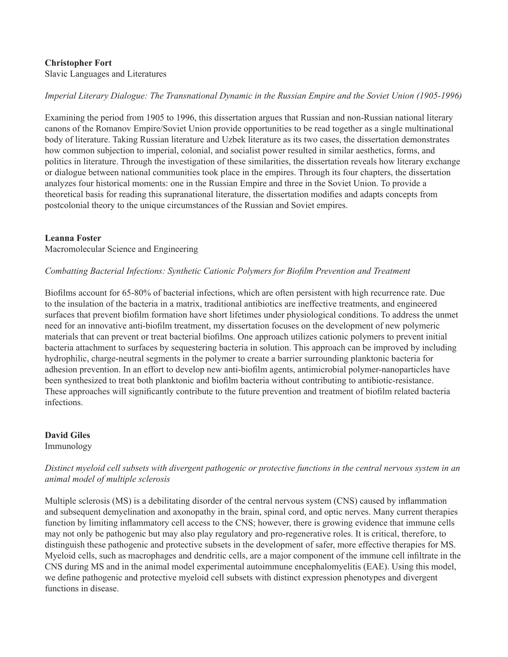# **Christopher Fort**

Slavic Languages and Literatures

*Imperial Literary Dialogue: The Transnational Dynamic in the Russian Empire and the Soviet Union (1905-1996)*

Examining the period from 1905 to 1996, this dissertation argues that Russian and non-Russian national literary canons of the Romanov Empire/Soviet Union provide opportunities to be read together as a single multinational body of literature. Taking Russian literature and Uzbek literature as its two cases, the dissertation demonstrates how common subjection to imperial, colonial, and socialist power resulted in similar aesthetics, forms, and politics in literature. Through the investigation of these similarities, the dissertation reveals how literary exchange or dialogue between national communities took place in the empires. Through its four chapters, the dissertation analyzes four historical moments: one in the Russian Empire and three in the Soviet Union. To provide a theoretical basis for reading this supranational literature, the dissertation modifies and adapts concepts from postcolonial theory to the unique circumstances of the Russian and Soviet empires.

#### **Leanna Foster**

Macromolecular Science and Engineering

#### *Combatting Bacterial Infections: Synthetic Cationic Polymers for Biofilm Prevention and Treatment*

Biofilms account for 65-80% of bacterial infections, which are often persistent with high recurrence rate. Due to the insulation of the bacteria in a matrix, traditional antibiotics are ineffective treatments, and engineered surfaces that prevent biofilm formation have short lifetimes under physiological conditions. To address the unmet need for an innovative anti-biofilm treatment, my dissertation focuses on the development of new polymeric materials that can prevent or treat bacterial biofilms. One approach utilizes cationic polymers to prevent initial bacteria attachment to surfaces by sequestering bacteria in solution. This approach can be improved by including hydrophilic, charge-neutral segments in the polymer to create a barrier surrounding planktonic bacteria for adhesion prevention. In an effort to develop new anti-biofilm agents, antimicrobial polymer-nanoparticles have been synthesized to treat both planktonic and biofilm bacteria without contributing to antibiotic-resistance. These approaches will significantly contribute to the future prevention and treatment of biofilm related bacteria infections.

# **David Giles**

Immunology

# *Distinct myeloid cell subsets with divergent pathogenic or protective functions in the central nervous system in an animal model of multiple sclerosis*

Multiple sclerosis (MS) is a debilitating disorder of the central nervous system (CNS) caused by inflammation and subsequent demyelination and axonopathy in the brain, spinal cord, and optic nerves. Many current therapies function by limiting inflammatory cell access to the CNS; however, there is growing evidence that immune cells may not only be pathogenic but may also play regulatory and pro-regenerative roles. It is critical, therefore, to distinguish these pathogenic and protective subsets in the development of safer, more effective therapies for MS. Myeloid cells, such as macrophages and dendritic cells, are a major component of the immune cell infiltrate in the CNS during MS and in the animal model experimental autoimmune encephalomyelitis (EAE). Using this model, we define pathogenic and protective myeloid cell subsets with distinct expression phenotypes and divergent functions in disease.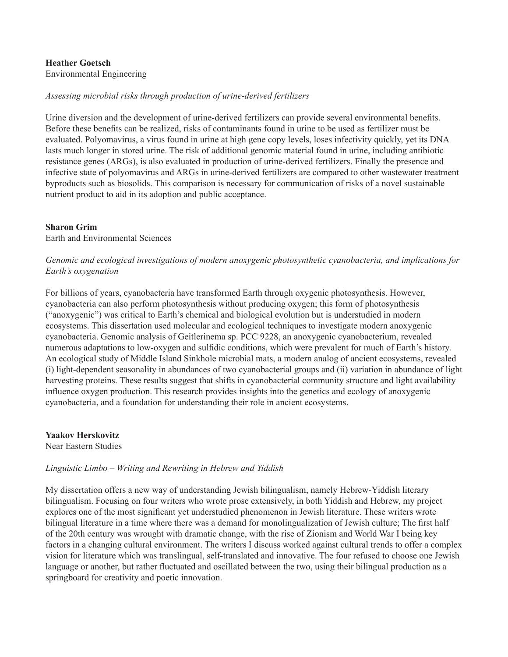# **Heather Goetsch** Environmental Engineering

# *Assessing microbial risks through production of urine-derived fertilizers*

Urine diversion and the development of urine-derived fertilizers can provide several environmental benefits. Before these benefits can be realized, risks of contaminants found in urine to be used as fertilizer must be evaluated. Polyomavirus, a virus found in urine at high gene copy levels, loses infectivity quickly, yet its DNA lasts much longer in stored urine. The risk of additional genomic material found in urine, including antibiotic resistance genes (ARGs), is also evaluated in production of urine-derived fertilizers. Finally the presence and infective state of polyomavirus and ARGs in urine-derived fertilizers are compared to other wastewater treatment byproducts such as biosolids. This comparison is necessary for communication of risks of a novel sustainable nutrient product to aid in its adoption and public acceptance.

# **Sharon Grim**

Earth and Environmental Sciences

# *Genomic and ecological investigations of modern anoxygenic photosynthetic cyanobacteria, and implications for Earth's oxygenation*

For billions of years, cyanobacteria have transformed Earth through oxygenic photosynthesis. However, cyanobacteria can also perform photosynthesis without producing oxygen; this form of photosynthesis ("anoxygenic") was critical to Earth's chemical and biological evolution but is understudied in modern ecosystems. This dissertation used molecular and ecological techniques to investigate modern anoxygenic cyanobacteria. Genomic analysis of Geitlerinema sp. PCC 9228, an anoxygenic cyanobacterium, revealed numerous adaptations to low-oxygen and sulfidic conditions, which were prevalent for much of Earth's history. An ecological study of Middle Island Sinkhole microbial mats, a modern analog of ancient ecosystems, revealed (i) light-dependent seasonality in abundances of two cyanobacterial groups and (ii) variation in abundance of light harvesting proteins. These results suggest that shifts in cyanobacterial community structure and light availability influence oxygen production. This research provides insights into the genetics and ecology of anoxygenic cyanobacteria, and a foundation for understanding their role in ancient ecosystems.

**Yaakov Herskovitz** Near Eastern Studies

# *Linguistic Limbo – Writing and Rewriting in Hebrew and Yiddish*

My dissertation offers a new way of understanding Jewish bilingualism, namely Hebrew-Yiddish literary bilingualism. Focusing on four writers who wrote prose extensively, in both Yiddish and Hebrew, my project explores one of the most significant yet understudied phenomenon in Jewish literature. These writers wrote bilingual literature in a time where there was a demand for monolingualization of Jewish culture; The first half of the 20th century was wrought with dramatic change, with the rise of Zionism and World War I being key factors in a changing cultural environment. The writers I discuss worked against cultural trends to offer a complex vision for literature which was translingual, self-translated and innovative. The four refused to choose one Jewish language or another, but rather fluctuated and oscillated between the two, using their bilingual production as a springboard for creativity and poetic innovation.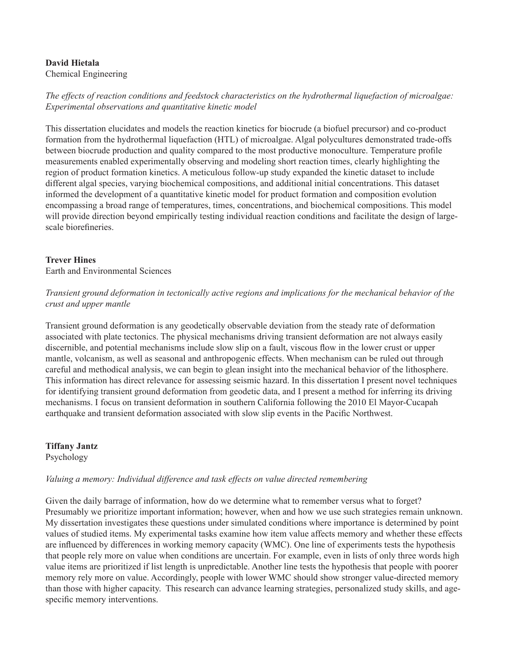# **David Hietala**

Chemical Engineering

*The effects of reaction conditions and feedstock characteristics on the hydrothermal liquefaction of microalgae: Experimental observations and quantitative kinetic model*

This dissertation elucidates and models the reaction kinetics for biocrude (a biofuel precursor) and co-product formation from the hydrothermal liquefaction (HTL) of microalgae. Algal polycultures demonstrated trade-offs between biocrude production and quality compared to the most productive monoculture. Temperature profile measurements enabled experimentally observing and modeling short reaction times, clearly highlighting the region of product formation kinetics. A meticulous follow-up study expanded the kinetic dataset to include different algal species, varying biochemical compositions, and additional initial concentrations. This dataset informed the development of a quantitative kinetic model for product formation and composition evolution encompassing a broad range of temperatures, times, concentrations, and biochemical compositions. This model will provide direction beyond empirically testing individual reaction conditions and facilitate the design of largescale biorefineries.

# **Trever Hines**

Earth and Environmental Sciences

*Transient ground deformation in tectonically active regions and implications for the mechanical behavior of the crust and upper mantle*

Transient ground deformation is any geodetically observable deviation from the steady rate of deformation associated with plate tectonics. The physical mechanisms driving transient deformation are not always easily discernible, and potential mechanisms include slow slip on a fault, viscous flow in the lower crust or upper mantle, volcanism, as well as seasonal and anthropogenic effects. When mechanism can be ruled out through careful and methodical analysis, we can begin to glean insight into the mechanical behavior of the lithosphere. This information has direct relevance for assessing seismic hazard. In this dissertation I present novel techniques for identifying transient ground deformation from geodetic data, and I present a method for inferring its driving mechanisms. I focus on transient deformation in southern California following the 2010 El Mayor-Cucapah earthquake and transient deformation associated with slow slip events in the Pacific Northwest.

**Tiffany Jantz**

Psychology

#### *Valuing a memory: Individual difference and task effects on value directed remembering*

Given the daily barrage of information, how do we determine what to remember versus what to forget? Presumably we prioritize important information; however, when and how we use such strategies remain unknown. My dissertation investigates these questions under simulated conditions where importance is determined by point values of studied items. My experimental tasks examine how item value affects memory and whether these effects are influenced by differences in working memory capacity (WMC). One line of experiments tests the hypothesis that people rely more on value when conditions are uncertain. For example, even in lists of only three words high value items are prioritized if list length is unpredictable. Another line tests the hypothesis that people with poorer memory rely more on value. Accordingly, people with lower WMC should show stronger value-directed memory than those with higher capacity. This research can advance learning strategies, personalized study skills, and agespecific memory interventions.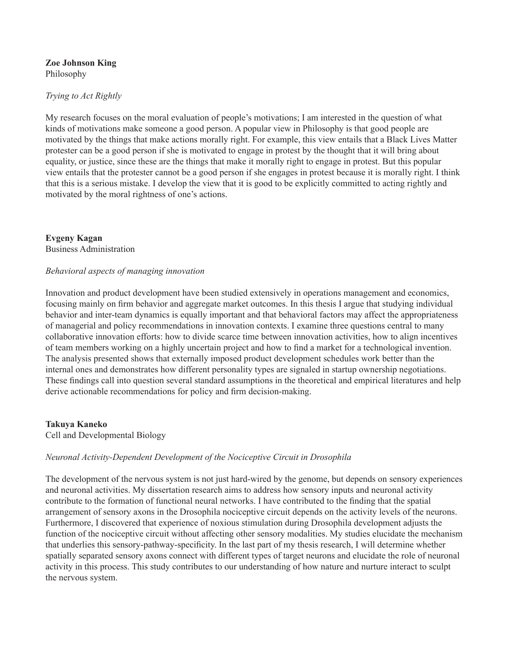#### **Zoe Johnson King** Philosophy

# *Trying to Act Rightly*

My research focuses on the moral evaluation of people's motivations; I am interested in the question of what kinds of motivations make someone a good person. A popular view in Philosophy is that good people are motivated by the things that make actions morally right. For example, this view entails that a Black Lives Matter protester can be a good person if she is motivated to engage in protest by the thought that it will bring about equality, or justice, since these are the things that make it morally right to engage in protest. But this popular view entails that the protester cannot be a good person if she engages in protest because it is morally right. I think that this is a serious mistake. I develop the view that it is good to be explicitly committed to acting rightly and motivated by the moral rightness of one's actions.

**Evgeny Kagan** Business Administration

#### *Behavioral aspects of managing innovation*

Innovation and product development have been studied extensively in operations management and economics, focusing mainly on firm behavior and aggregate market outcomes. In this thesis I argue that studying individual behavior and inter-team dynamics is equally important and that behavioral factors may affect the appropriateness of managerial and policy recommendations in innovation contexts. I examine three questions central to many collaborative innovation efforts: how to divide scarce time between innovation activities, how to align incentives of team members working on a highly uncertain project and how to find a market for a technological invention. The analysis presented shows that externally imposed product development schedules work better than the internal ones and demonstrates how different personality types are signaled in startup ownership negotiations. These findings call into question several standard assumptions in the theoretical and empirical literatures and help derive actionable recommendations for policy and firm decision-making.

#### **Takuya Kaneko**

Cell and Developmental Biology

#### *Neuronal Activity-Dependent Development of the Nociceptive Circuit in Drosophila*

The development of the nervous system is not just hard-wired by the genome, but depends on sensory experiences and neuronal activities. My dissertation research aims to address how sensory inputs and neuronal activity contribute to the formation of functional neural networks. I have contributed to the finding that the spatial arrangement of sensory axons in the Drosophila nociceptive circuit depends on the activity levels of the neurons. Furthermore, I discovered that experience of noxious stimulation during Drosophila development adjusts the function of the nociceptive circuit without affecting other sensory modalities. My studies elucidate the mechanism that underlies this sensory-pathway-specificity. In the last part of my thesis research, I will determine whether spatially separated sensory axons connect with different types of target neurons and elucidate the role of neuronal activity in this process. This study contributes to our understanding of how nature and nurture interact to sculpt the nervous system.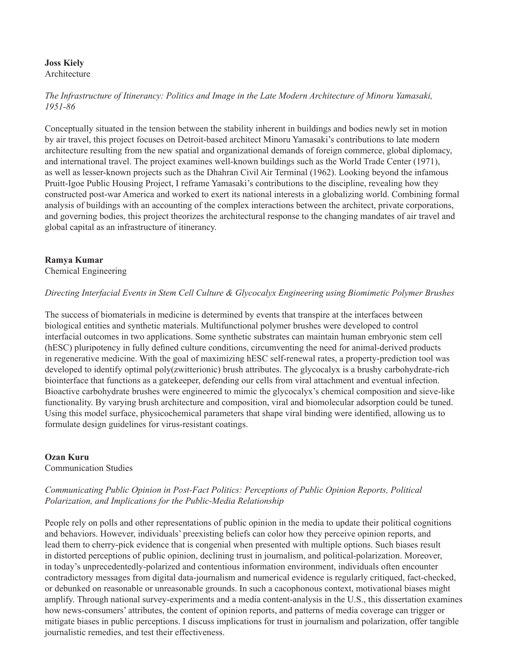# **Joss Kiely**

Architecture

*The Infrastructure of Itinerancy: Politics and Image in the Late Modern Architecture of Minoru Yamasaki, 1951-86*

Conceptually situated in the tension between the stability inherent in buildings and bodies newly set in motion by air travel, this project focuses on Detroit-based architect Minoru Yamasaki's contributions to late modern architecture resulting from the new spatial and organizational demands of foreign commerce, global diplomacy, and international travel. The project examines well-known buildings such as the World Trade Center (1971), as well as lesser-known projects such as the Dhahran Civil Air Terminal (1962). Looking beyond the infamous Pruitt-Igoe Public Housing Project, I reframe Yamasaki's contributions to the discipline, revealing how they constructed post-war America and worked to exert its national interests in a globalizing world. Combining formal analysis of buildings with an accounting of the complex interactions between the architect, private corporations, and governing bodies, this project theorizes the architectural response to the changing mandates of air travel and global capital as an infrastructure of itinerancy.

# **Ramya Kumar**

Chemical Engineering

#### *Directing Interfacial Events in Stem Cell Culture & Glycocalyx Engineering using Biomimetic Polymer Brushes*

The success of biomaterials in medicine is determined by events that transpire at the interfaces between biological entities and synthetic materials. Multifunctional polymer brushes were developed to control interfacial outcomes in two applications. Some synthetic substrates can maintain human embryonic stem cell (hESC) pluripotency in fully defined culture conditions, circumventing the need for animal-derived products in regenerative medicine. With the goal of maximizing hESC self-renewal rates, a property-prediction tool was developed to identify optimal poly(zwitterionic) brush attributes. The glycocalyx is a brushy carbohydrate-rich biointerface that functions as a gatekeeper, defending our cells from viral attachment and eventual infection. Bioactive carbohydrate brushes were engineered to mimic the glycocalyx's chemical composition and sieve-like functionality. By varying brush architecture and composition, viral and biomolecular adsorption could be tuned. Using this model surface, physicochemical parameters that shape viral binding were identified, allowing us to formulate design guidelines for virus-resistant coatings.

#### **Ozan Kuru**

Communication Studies

# *Communicating Public Opinion in Post-Fact Politics: Perceptions of Public Opinion Reports, Political Polarization, and Implications for the Public-Media Relationship*

People rely on polls and other representations of public opinion in the media to update their political cognitions and behaviors. However, individuals' preexisting beliefs can color how they perceive opinion reports, and lead them to cherry-pick evidence that is congenial when presented with multiple options. Such biases result in distorted perceptions of public opinion, declining trust in journalism, and political-polarization. Moreover, in today's unprecedentedly-polarized and contentious information environment, individuals often encounter contradictory messages from digital data-journalism and numerical evidence is regularly critiqued, fact-checked, or debunked on reasonable or unreasonable grounds. In such a cacophonous context, motivational biases might amplify. Through national survey-experiments and a media content-analysis in the U.S., this dissertation examines how news-consumers' attributes, the content of opinion reports, and patterns of media coverage can trigger or mitigate biases in public perceptions. I discuss implications for trust in journalism and polarization, offer tangible journalistic remedies, and test their effectiveness.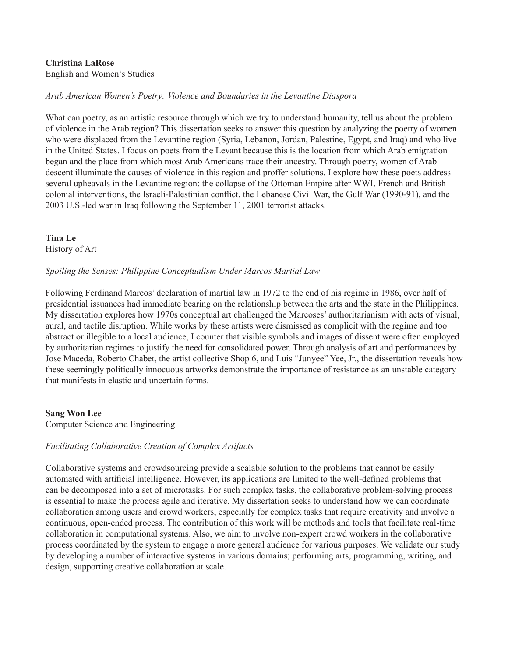# **Christina LaRose**

English and Women's Studies

# *Arab American Women's Poetry: Violence and Boundaries in the Levantine Diaspora*

What can poetry, as an artistic resource through which we try to understand humanity, tell us about the problem of violence in the Arab region? This dissertation seeks to answer this question by analyzing the poetry of women who were displaced from the Levantine region (Syria, Lebanon, Jordan, Palestine, Egypt, and Iraq) and who live in the United States. I focus on poets from the Levant because this is the location from which Arab emigration began and the place from which most Arab Americans trace their ancestry. Through poetry, women of Arab descent illuminate the causes of violence in this region and proffer solutions. I explore how these poets address several upheavals in the Levantine region: the collapse of the Ottoman Empire after WWI, French and British colonial interventions, the Israeli-Palestinian conflict, the Lebanese Civil War, the Gulf War (1990-91), and the 2003 U.S.-led war in Iraq following the September 11, 2001 terrorist attacks.

**Tina Le** History of Art

# *Spoiling the Senses: Philippine Conceptualism Under Marcos Martial Law*

Following Ferdinand Marcos' declaration of martial law in 1972 to the end of his regime in 1986, over half of presidential issuances had immediate bearing on the relationship between the arts and the state in the Philippines. My dissertation explores how 1970s conceptual art challenged the Marcoses' authoritarianism with acts of visual, aural, and tactile disruption. While works by these artists were dismissed as complicit with the regime and too abstract or illegible to a local audience, I counter that visible symbols and images of dissent were often employed by authoritarian regimes to justify the need for consolidated power. Through analysis of art and performances by Jose Maceda, Roberto Chabet, the artist collective Shop 6, and Luis "Junyee" Yee, Jr., the dissertation reveals how these seemingly politically innocuous artworks demonstrate the importance of resistance as an unstable category that manifests in elastic and uncertain forms.

#### **Sang Won Lee**

Computer Science and Engineering

#### *Facilitating Collaborative Creation of Complex Artifacts*

Collaborative systems and crowdsourcing provide a scalable solution to the problems that cannot be easily automated with artificial intelligence. However, its applications are limited to the well-defined problems that can be decomposed into a set of microtasks. For such complex tasks, the collaborative problem-solving process is essential to make the process agile and iterative. My dissertation seeks to understand how we can coordinate collaboration among users and crowd workers, especially for complex tasks that require creativity and involve a continuous, open-ended process. The contribution of this work will be methods and tools that facilitate real-time collaboration in computational systems. Also, we aim to involve non-expert crowd workers in the collaborative process coordinated by the system to engage a more general audience for various purposes. We validate our study by developing a number of interactive systems in various domains; performing arts, programming, writing, and design, supporting creative collaboration at scale.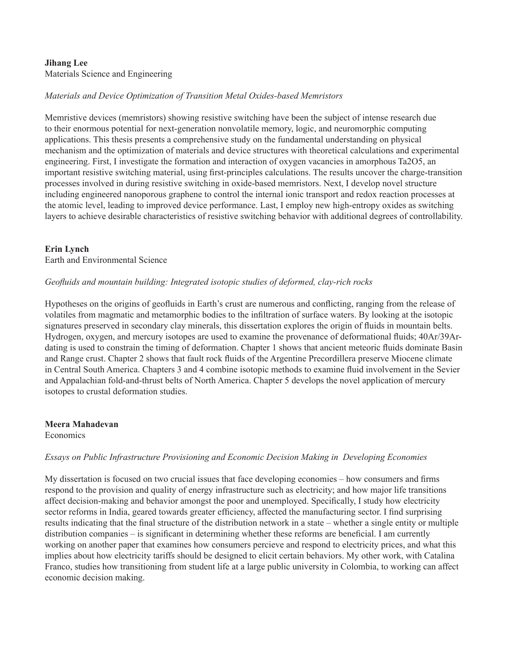#### **Jihang Lee** Materials Science and Engineering

# *Materials and Device Optimization of Transition Metal Oxides-based Memristors*

Memristive devices (memristors) showing resistive switching have been the subject of intense research due to their enormous potential for next-generation nonvolatile memory, logic, and neuromorphic computing applications. This thesis presents a comprehensive study on the fundamental understanding on physical mechanism and the optimization of materials and device structures with theoretical calculations and experimental engineering. First, I investigate the formation and interaction of oxygen vacancies in amorphous Ta2O5, an important resistive switching material, using first-principles calculations. The results uncover the charge-transition processes involved in during resistive switching in oxide-based memristors. Next, I develop novel structure including engineered nanoporous graphene to control the internal ionic transport and redox reaction processes at the atomic level, leading to improved device performance. Last, I employ new high-entropy oxides as switching layers to achieve desirable characteristics of resistive switching behavior with additional degrees of controllability.

# **Erin Lynch**

Earth and Environmental Science

# *Geofluids and mountain building: Integrated isotopic studies of deformed, clay-rich rocks*

Hypotheses on the origins of geofluids in Earth's crust are numerous and conflicting, ranging from the release of volatiles from magmatic and metamorphic bodies to the infiltration of surface waters. By looking at the isotopic signatures preserved in secondary clay minerals, this dissertation explores the origin of fluids in mountain belts. Hydrogen, oxygen, and mercury isotopes are used to examine the provenance of deformational fluids; 40Ar/39Ardating is used to constrain the timing of deformation. Chapter 1 shows that ancient meteoric fluids dominate Basin and Range crust. Chapter 2 shows that fault rock fluids of the Argentine Precordillera preserve Miocene climate in Central South America. Chapters 3 and 4 combine isotopic methods to examine fluid involvement in the Sevier and Appalachian fold-and-thrust belts of North America. Chapter 5 develops the novel application of mercury isotopes to crustal deformation studies.

**Meera Mahadevan Economics** 

#### *Essays on Public Infrastructure Provisioning and Economic Decision Making in Developing Economies*

My dissertation is focused on two crucial issues that face developing economies – how consumers and firms respond to the provision and quality of energy infrastructure such as electricity; and how major life transitions affect decision-making and behavior amongst the poor and unemployed. Specifically, I study how electricity sector reforms in India, geared towards greater efficiency, affected the manufacturing sector. I find surprising results indicating that the final structure of the distribution network in a state – whether a single entity or multiple distribution companies – is significant in determining whether these reforms are beneficial. I am currently working on another paper that examines how consumers percieve and respond to electricity prices, and what this implies about how electricity tariffs should be designed to elicit certain behaviors. My other work, with Catalina Franco, studies how transitioning from student life at a large public university in Colombia, to working can affect economic decision making.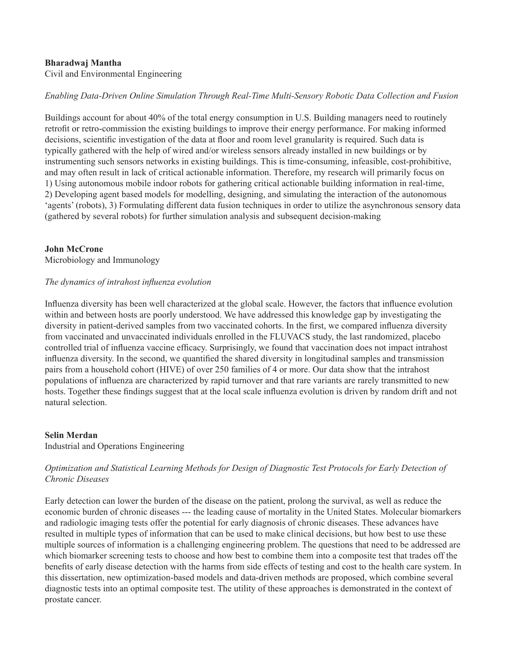# **Bharadwaj Mantha**

Civil and Environmental Engineering

# *Enabling Data-Driven Online Simulation Through Real-Time Multi-Sensory Robotic Data Collection and Fusion*

Buildings account for about 40% of the total energy consumption in U.S. Building managers need to routinely retrofit or retro-commission the existing buildings to improve their energy performance. For making informed decisions, scientific investigation of the data at floor and room level granularity is required. Such data is typically gathered with the help of wired and/or wireless sensors already installed in new buildings or by instrumenting such sensors networks in existing buildings. This is time-consuming, infeasible, cost-prohibitive, and may often result in lack of critical actionable information. Therefore, my research will primarily focus on 1) Using autonomous mobile indoor robots for gathering critical actionable building information in real-time, 2) Developing agent based models for modelling, designing, and simulating the interaction of the autonomous 'agents' (robots), 3) Formulating different data fusion techniques in order to utilize the asynchronous sensory data (gathered by several robots) for further simulation analysis and subsequent decision-making

#### **John McCrone**

Microbiology and Immunology

#### *The dynamics of intrahost influenza evolution*

Influenza diversity has been well characterized at the global scale. However, the factors that influence evolution within and between hosts are poorly understood. We have addressed this knowledge gap by investigating the diversity in patient-derived samples from two vaccinated cohorts. In the first, we compared influenza diversity from vaccinated and unvaccinated individuals enrolled in the FLUVACS study, the last randomized, placebo controlled trial of influenza vaccine efficacy. Surprisingly, we found that vaccination does not impact intrahost influenza diversity. In the second, we quantified the shared diversity in longitudinal samples and transmission pairs from a household cohort (HIVE) of over 250 families of 4 or more. Our data show that the intrahost populations of influenza are characterized by rapid turnover and that rare variants are rarely transmitted to new hosts. Together these findings suggest that at the local scale influenza evolution is driven by random drift and not natural selection.

#### **Selin Merdan**

Industrial and Operations Engineering

# *Optimization and Statistical Learning Methods for Design of Diagnostic Test Protocols for Early Detection of Chronic Diseases*

Early detection can lower the burden of the disease on the patient, prolong the survival, as well as reduce the economic burden of chronic diseases --- the leading cause of mortality in the United States. Molecular biomarkers and radiologic imaging tests offer the potential for early diagnosis of chronic diseases. These advances have resulted in multiple types of information that can be used to make clinical decisions, but how best to use these multiple sources of information is a challenging engineering problem. The questions that need to be addressed are which biomarker screening tests to choose and how best to combine them into a composite test that trades off the benefits of early disease detection with the harms from side effects of testing and cost to the health care system. In this dissertation, new optimization-based models and data-driven methods are proposed, which combine several diagnostic tests into an optimal composite test. The utility of these approaches is demonstrated in the context of prostate cancer.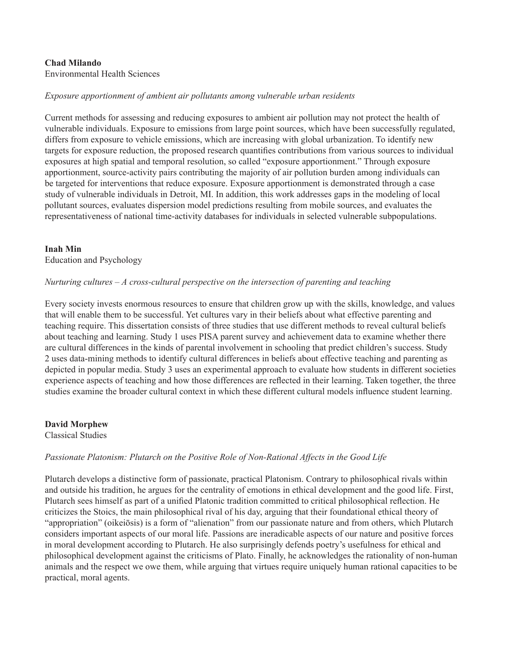#### **Chad Milando** Environmental Health Sciences

# *Exposure apportionment of ambient air pollutants among vulnerable urban residents*

Current methods for assessing and reducing exposures to ambient air pollution may not protect the health of vulnerable individuals. Exposure to emissions from large point sources, which have been successfully regulated, differs from exposure to vehicle emissions, which are increasing with global urbanization. To identify new targets for exposure reduction, the proposed research quantifies contributions from various sources to individual exposures at high spatial and temporal resolution, so called "exposure apportionment." Through exposure apportionment, source-activity pairs contributing the majority of air pollution burden among individuals can be targeted for interventions that reduce exposure. Exposure apportionment is demonstrated through a case study of vulnerable individuals in Detroit, MI. In addition, this work addresses gaps in the modeling of local pollutant sources, evaluates dispersion model predictions resulting from mobile sources, and evaluates the representativeness of national time-activity databases for individuals in selected vulnerable subpopulations.

#### **Inah Min** Education and Psychology

#### *Nurturing cultures – A cross-cultural perspective on the intersection of parenting and teaching*

Every society invests enormous resources to ensure that children grow up with the skills, knowledge, and values that will enable them to be successful. Yet cultures vary in their beliefs about what effective parenting and teaching require. This dissertation consists of three studies that use different methods to reveal cultural beliefs about teaching and learning. Study 1 uses PISA parent survey and achievement data to examine whether there are cultural differences in the kinds of parental involvement in schooling that predict children's success. Study 2 uses data-mining methods to identify cultural differences in beliefs about effective teaching and parenting as depicted in popular media. Study 3 uses an experimental approach to evaluate how students in different societies experience aspects of teaching and how those differences are reflected in their learning. Taken together, the three studies examine the broader cultural context in which these different cultural models influence student learning.

**David Morphew**

Classical Studies

# *Passionate Platonism: Plutarch on the Positive Role of Non-Rational Affects in the Good Life*

Plutarch develops a distinctive form of passionate, practical Platonism. Contrary to philosophical rivals within and outside his tradition, he argues for the centrality of emotions in ethical development and the good life. First, Plutarch sees himself as part of a unified Platonic tradition committed to critical philosophical reflection. He criticizes the Stoics, the main philosophical rival of his day, arguing that their foundational ethical theory of "appropriation" (oikeiōsis) is a form of "alienation" from our passionate nature and from others, which Plutarch considers important aspects of our moral life. Passions are ineradicable aspects of our nature and positive forces in moral development according to Plutarch. He also surprisingly defends poetry's usefulness for ethical and philosophical development against the criticisms of Plato. Finally, he acknowledges the rationality of non-human animals and the respect we owe them, while arguing that virtues require uniquely human rational capacities to be practical, moral agents.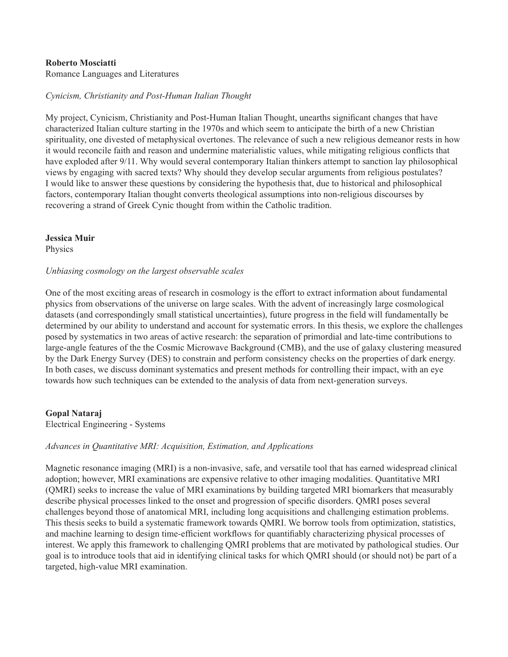#### **Roberto Mosciatti**

Romance Languages and Literatures

#### *Cynicism, Christianity and Post-Human Italian Thought*

My project, Cynicism, Christianity and Post-Human Italian Thought, unearths significant changes that have characterized Italian culture starting in the 1970s and which seem to anticipate the birth of a new Christian spirituality, one divested of metaphysical overtones. The relevance of such a new religious demeanor rests in how it would reconcile faith and reason and undermine materialistic values, while mitigating religious conflicts that have exploded after 9/11. Why would several contemporary Italian thinkers attempt to sanction lay philosophical views by engaging with sacred texts? Why should they develop secular arguments from religious postulates? I would like to answer these questions by considering the hypothesis that, due to historical and philosophical factors, contemporary Italian thought converts theological assumptions into non-religious discourses by recovering a strand of Greek Cynic thought from within the Catholic tradition.

#### **Jessica Muir**

**Physics** 

#### *Unbiasing cosmology on the largest observable scales*

One of the most exciting areas of research in cosmology is the effort to extract information about fundamental physics from observations of the universe on large scales. With the advent of increasingly large cosmological datasets (and correspondingly small statistical uncertainties), future progress in the field will fundamentally be determined by our ability to understand and account for systematic errors. In this thesis, we explore the challenges posed by systematics in two areas of active research: the separation of primordial and late-time contributions to large-angle features of the the Cosmic Microwave Background (CMB), and the use of galaxy clustering measured by the Dark Energy Survey (DES) to constrain and perform consistency checks on the properties of dark energy. In both cases, we discuss dominant systematics and present methods for controlling their impact, with an eye towards how such techniques can be extended to the analysis of data from next-generation surveys.

#### **Gopal Nataraj**

Electrical Engineering - Systems

#### *Advances in Quantitative MRI: Acquisition, Estimation, and Applications*

Magnetic resonance imaging (MRI) is a non-invasive, safe, and versatile tool that has earned widespread clinical adoption; however, MRI examinations are expensive relative to other imaging modalities. Quantitative MRI (QMRI) seeks to increase the value of MRI examinations by building targeted MRI biomarkers that measurably describe physical processes linked to the onset and progression of specific disorders. QMRI poses several challenges beyond those of anatomical MRI, including long acquisitions and challenging estimation problems. This thesis seeks to build a systematic framework towards QMRI. We borrow tools from optimization, statistics, and machine learning to design time-efficient workflows for quantifiably characterizing physical processes of interest. We apply this framework to challenging QMRI problems that are motivated by pathological studies. Our goal is to introduce tools that aid in identifying clinical tasks for which QMRI should (or should not) be part of a targeted, high-value MRI examination.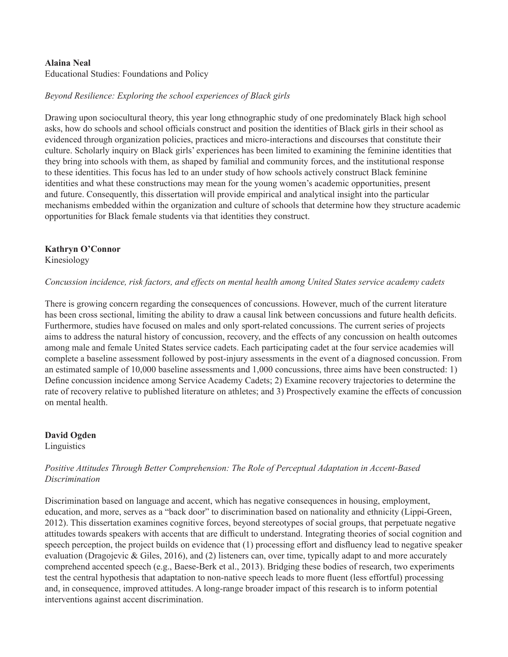#### **Alaina Neal**

Educational Studies: Foundations and Policy

# *Beyond Resilience: Exploring the school experiences of Black girls*

Drawing upon sociocultural theory, this year long ethnographic study of one predominately Black high school asks, how do schools and school officials construct and position the identities of Black girls in their school as evidenced through organization policies, practices and micro-interactions and discourses that constitute their culture. Scholarly inquiry on Black girls' experiences has been limited to examining the feminine identities that they bring into schools with them, as shaped by familial and community forces, and the institutional response to these identities. This focus has led to an under study of how schools actively construct Black feminine identities and what these constructions may mean for the young women's academic opportunities, present and future. Consequently, this dissertation will provide empirical and analytical insight into the particular mechanisms embedded within the organization and culture of schools that determine how they structure academic opportunities for Black female students via that identities they construct.

# **Kathryn O'Connor**

Kinesiology

#### *Concussion incidence, risk factors, and effects on mental health among United States service academy cadets*

There is growing concern regarding the consequences of concussions. However, much of the current literature has been cross sectional, limiting the ability to draw a causal link between concussions and future health deficits. Furthermore, studies have focused on males and only sport-related concussions. The current series of projects aims to address the natural history of concussion, recovery, and the effects of any concussion on health outcomes among male and female United States service cadets. Each participating cadet at the four service academies will complete a baseline assessment followed by post-injury assessments in the event of a diagnosed concussion. From an estimated sample of 10,000 baseline assessments and 1,000 concussions, three aims have been constructed: 1) Define concussion incidence among Service Academy Cadets; 2) Examine recovery trajectories to determine the rate of recovery relative to published literature on athletes; and 3) Prospectively examine the effects of concussion on mental health.

**David Ogden Linguistics** 

# *Positive Attitudes Through Better Comprehension: The Role of Perceptual Adaptation in Accent-Based Discrimination*

Discrimination based on language and accent, which has negative consequences in housing, employment, education, and more, serves as a "back door" to discrimination based on nationality and ethnicity (Lippi-Green, 2012). This dissertation examines cognitive forces, beyond stereotypes of social groups, that perpetuate negative attitudes towards speakers with accents that are difficult to understand. Integrating theories of social cognition and speech perception, the project builds on evidence that (1) processing effort and disfluency lead to negative speaker evaluation (Dragojevic & Giles, 2016), and (2) listeners can, over time, typically adapt to and more accurately comprehend accented speech (e.g., Baese-Berk et al., 2013). Bridging these bodies of research, two experiments test the central hypothesis that adaptation to non-native speech leads to more fluent (less effortful) processing and, in consequence, improved attitudes. A long-range broader impact of this research is to inform potential interventions against accent discrimination.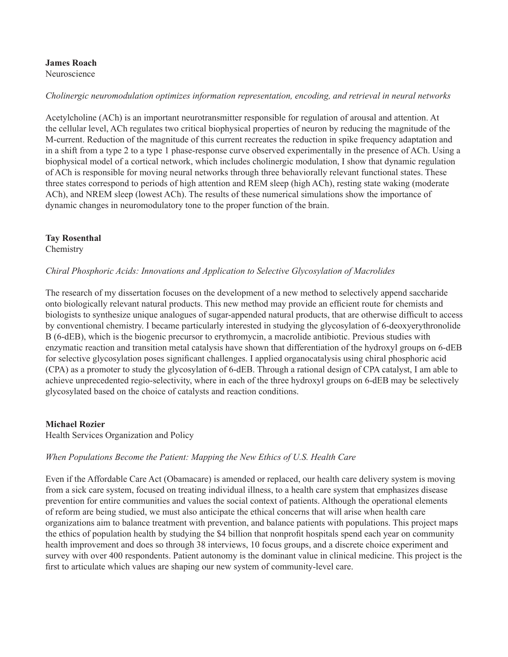# **James Roach**

Neuroscience

# *Cholinergic neuromodulation optimizes information representation, encoding, and retrieval in neural networks*

Acetylcholine (ACh) is an important neurotransmitter responsible for regulation of arousal and attention. At the cellular level, ACh regulates two critical biophysical properties of neuron by reducing the magnitude of the M-current. Reduction of the magnitude of this current recreates the reduction in spike frequency adaptation and in a shift from a type 2 to a type 1 phase-response curve observed experimentally in the presence of ACh. Using a biophysical model of a cortical network, which includes cholinergic modulation, I show that dynamic regulation of ACh is responsible for moving neural networks through three behaviorally relevant functional states. These three states correspond to periods of high attention and REM sleep (high ACh), resting state waking (moderate ACh), and NREM sleep (lowest ACh). The results of these numerical simulations show the importance of dynamic changes in neuromodulatory tone to the proper function of the brain.

# **Tay Rosenthal**

**Chemistry** 

# *Chiral Phosphoric Acids: Innovations and Application to Selective Glycosylation of Macrolides*

The research of my dissertation focuses on the development of a new method to selectively append saccharide onto biologically relevant natural products. This new method may provide an efficient route for chemists and biologists to synthesize unique analogues of sugar-appended natural products, that are otherwise difficult to access by conventional chemistry. I became particularly interested in studying the glycosylation of 6-deoxyerythronolide B (6-dEB), which is the biogenic precursor to erythromycin, a macrolide antibiotic. Previous studies with enzymatic reaction and transition metal catalysis have shown that differentiation of the hydroxyl groups on 6-dEB for selective glycosylation poses significant challenges. I applied organocatalysis using chiral phosphoric acid (CPA) as a promoter to study the glycosylation of 6-dEB. Through a rational design of CPA catalyst, I am able to achieve unprecedented regio-selectivity, where in each of the three hydroxyl groups on 6-dEB may be selectively glycosylated based on the choice of catalysts and reaction conditions.

#### **Michael Rozier**

Health Services Organization and Policy

# *When Populations Become the Patient: Mapping the New Ethics of U.S. Health Care*

Even if the Affordable Care Act (Obamacare) is amended or replaced, our health care delivery system is moving from a sick care system, focused on treating individual illness, to a health care system that emphasizes disease prevention for entire communities and values the social context of patients. Although the operational elements of reform are being studied, we must also anticipate the ethical concerns that will arise when health care organizations aim to balance treatment with prevention, and balance patients with populations. This project maps the ethics of population health by studying the \$4 billion that nonprofit hospitals spend each year on community health improvement and does so through 38 interviews, 10 focus groups, and a discrete choice experiment and survey with over 400 respondents. Patient autonomy is the dominant value in clinical medicine. This project is the first to articulate which values are shaping our new system of community-level care.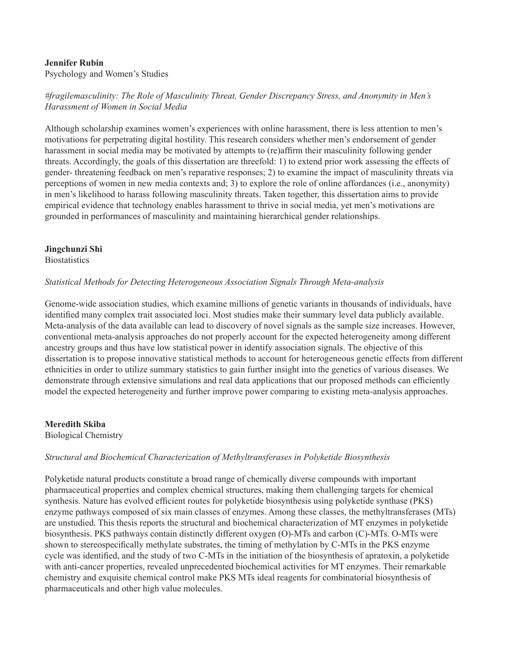# **Jennifer Rubin**

Psychology and Women's Studies

# *#fragilemasculinity: The Role of Masculinity Threat, Gender Discrepancy Stress, and Anonymity in Men's Harassment of Women in Social Media*

Although scholarship examines women's experiences with online harassment, there is less attention to men's motivations for perpetrating digital hostility. This research considers whether men's endorsement of gender harassment in social media may be motivated by attempts to (re)affirm their masculinity following gender threats. Accordingly, the goals of this dissertation are threefold: 1) to extend prior work assessing the effects of gender- threatening feedback on men's reparative responses; 2) to examine the impact of masculinity threats via perceptions of women in new media contexts and; 3) to explore the role of online affordances (i.e., anonymity) in men's likelihood to harass following masculinity threats. Taken together, this dissertation aims to provide empirical evidence that technology enables harassment to thrive in social media, yet men's motivations are grounded in performances of masculinity and maintaining hierarchical gender relationships.

# **Jingchunzi Shi**

**Biostatistics** 

# *Statistical Methods for Detecting Heterogeneous Association Signals Through Meta-analysis*

Genome-wide association studies, which examine millions of genetic variants in thousands of individuals, have identified many complex trait associated loci. Most studies make their summary level data publicly available. Meta-analysis of the data available can lead to discovery of novel signals as the sample size increases. However, conventional meta-analysis approaches do not properly account for the expected heterogeneity among different ancestry groups and thus have low statistical power in identify association signals. The objective of this dissertation is to propose innovative statistical methods to account for heterogeneous genetic effects from different ethnicities in order to utilize summary statistics to gain further insight into the genetics of various diseases. We demonstrate through extensive simulations and real data applications that our proposed methods can efficiently model the expected heterogeneity and further improve power comparing to existing meta-analysis approaches.

**Meredith Skiba** Biological Chemistry

#### *Structural and Biochemical Characterization of Methyltransferases in Polyketide Biosynthesis*

Polyketide natural products constitute a broad range of chemically diverse compounds with important pharmaceutical properties and complex chemical structures, making them challenging targets for chemical synthesis. Nature has evolved efficient routes for polyketide biosynthesis using polyketide synthase (PKS) enzyme pathways composed of six main classes of enzymes. Among these classes, the methyltransferases (MTs) are unstudied. This thesis reports the structural and biochemical characterization of MT enzymes in polyketide biosynthesis. PKS pathways contain distinctly different oxygen (O)-MTs and carbon (C)-MTs. O-MTs were shown to stereospecifically methylate substrates, the timing of methylation by C-MTs in the PKS enzyme cycle was identified, and the study of two C-MTs in the initiation of the biosynthesis of apratoxin, a polyketide with anti-cancer properties, revealed unprecedented biochemical activities for MT enzymes. Their remarkable chemistry and exquisite chemical control make PKS MTs ideal reagents for combinatorial biosynthesis of pharmaceuticals and other high value molecules.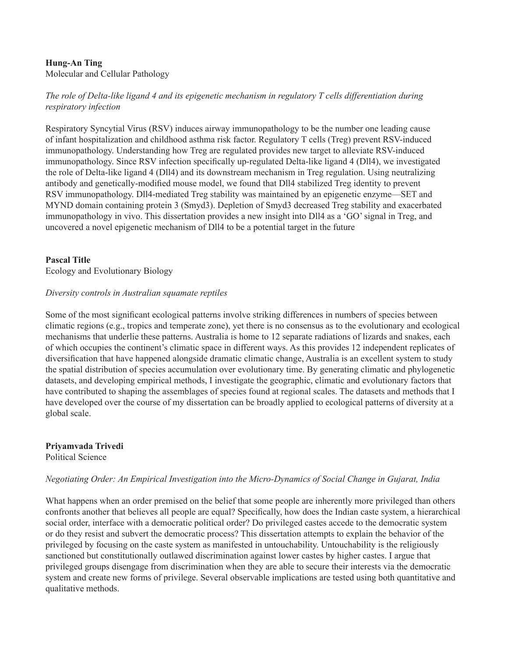# **Hung-An Ting**

Molecular and Cellular Pathology

# *The role of Delta-like ligand 4 and its epigenetic mechanism in regulatory T cells differentiation during respiratory infection*

Respiratory Syncytial Virus (RSV) induces airway immunopathology to be the number one leading cause of infant hospitalization and childhood asthma risk factor. Regulatory T cells (Treg) prevent RSV-induced immunopathology. Understanding how Treg are regulated provides new target to alleviate RSV-induced immunopathology. Since RSV infection specifically up-regulated Delta-like ligand 4 (Dll4), we investigated the role of Delta-like ligand 4 (Dll4) and its downstream mechanism in Treg regulation. Using neutralizing antibody and genetically-modified mouse model, we found that Dll4 stabilized Treg identity to prevent RSV immunopathology. Dll4-mediated Treg stability was maintained by an epigenetic enzyme—SET and MYND domain containing protein 3 (Smyd3). Depletion of Smyd3 decreased Treg stability and exacerbated immunopathology in vivo. This dissertation provides a new insight into Dll4 as a 'GO' signal in Treg, and uncovered a novel epigenetic mechanism of Dll4 to be a potential target in the future

# **Pascal Title**

Ecology and Evolutionary Biology

#### *Diversity controls in Australian squamate reptiles*

Some of the most significant ecological patterns involve striking differences in numbers of species between climatic regions (e.g., tropics and temperate zone), yet there is no consensus as to the evolutionary and ecological mechanisms that underlie these patterns. Australia is home to 12 separate radiations of lizards and snakes, each of which occupies the continent's climatic space in different ways. As this provides 12 independent replicates of diversification that have happened alongside dramatic climatic change, Australia is an excellent system to study the spatial distribution of species accumulation over evolutionary time. By generating climatic and phylogenetic datasets, and developing empirical methods, I investigate the geographic, climatic and evolutionary factors that have contributed to shaping the assemblages of species found at regional scales. The datasets and methods that I have developed over the course of my dissertation can be broadly applied to ecological patterns of diversity at a global scale.

**Priyamvada Trivedi**

Political Science

#### *Negotiating Order: An Empirical Investigation into the Micro-Dynamics of Social Change in Gujarat, India*

What happens when an order premised on the belief that some people are inherently more privileged than others confronts another that believes all people are equal? Specifically, how does the Indian caste system, a hierarchical social order, interface with a democratic political order? Do privileged castes accede to the democratic system or do they resist and subvert the democratic process? This dissertation attempts to explain the behavior of the privileged by focusing on the caste system as manifested in untouchability. Untouchability is the religiously sanctioned but constitutionally outlawed discrimination against lower castes by higher castes. I argue that privileged groups disengage from discrimination when they are able to secure their interests via the democratic system and create new forms of privilege. Several observable implications are tested using both quantitative and qualitative methods.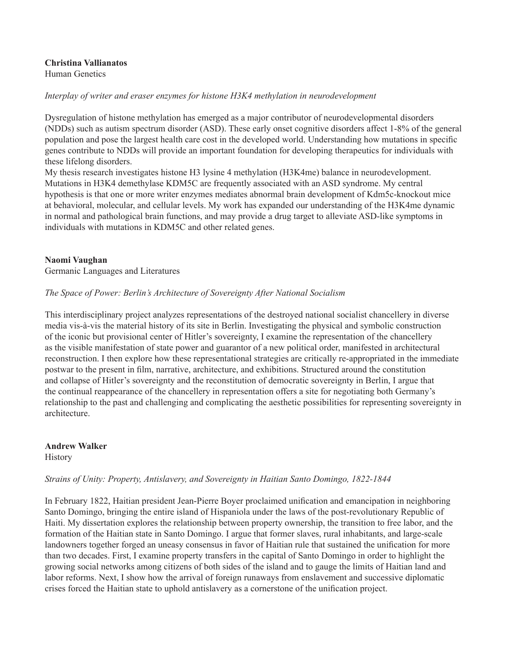# **Christina Vallianatos**

Human Genetics

# *Interplay of writer and eraser enzymes for histone H3K4 methylation in neurodevelopment*

Dysregulation of histone methylation has emerged as a major contributor of neurodevelopmental disorders (NDDs) such as autism spectrum disorder (ASD). These early onset cognitive disorders affect 1-8% of the general population and pose the largest health care cost in the developed world. Understanding how mutations in specific genes contribute to NDDs will provide an important foundation for developing therapeutics for individuals with these lifelong disorders.

My thesis research investigates histone H3 lysine 4 methylation (H3K4me) balance in neurodevelopment. Mutations in H3K4 demethylase KDM5C are frequently associated with an ASD syndrome. My central hypothesis is that one or more writer enzymes mediates abnormal brain development of Kdm5c-knockout mice at behavioral, molecular, and cellular levels. My work has expanded our understanding of the H3K4me dynamic in normal and pathological brain functions, and may provide a drug target to alleviate ASD-like symptoms in individuals with mutations in KDM5C and other related genes.

# **Naomi Vaughan**

Germanic Languages and Literatures

#### *The Space of Power: Berlin's Architecture of Sovereignty After National Socialism*

This interdisciplinary project analyzes representations of the destroyed national socialist chancellery in diverse media vis-à-vis the material history of its site in Berlin. Investigating the physical and symbolic construction of the iconic but provisional center of Hitler's sovereignty, I examine the representation of the chancellery as the visible manifestation of state power and guarantor of a new political order, manifested in architectural reconstruction. I then explore how these representational strategies are critically re-appropriated in the immediate postwar to the present in film, narrative, architecture, and exhibitions. Structured around the constitution and collapse of Hitler's sovereignty and the reconstitution of democratic sovereignty in Berlin, I argue that the continual reappearance of the chancellery in representation offers a site for negotiating both Germany's relationship to the past and challenging and complicating the aesthetic possibilities for representing sovereignty in architecture.

# **Andrew Walker**

**History** 

# *Strains of Unity: Property, Antislavery, and Sovereignty in Haitian Santo Domingo, 1822-1844*

In February 1822, Haitian president Jean-Pierre Boyer proclaimed unification and emancipation in neighboring Santo Domingo, bringing the entire island of Hispaniola under the laws of the post-revolutionary Republic of Haiti. My dissertation explores the relationship between property ownership, the transition to free labor, and the formation of the Haitian state in Santo Domingo. I argue that former slaves, rural inhabitants, and large-scale landowners together forged an uneasy consensus in favor of Haitian rule that sustained the unification for more than two decades. First, I examine property transfers in the capital of Santo Domingo in order to highlight the growing social networks among citizens of both sides of the island and to gauge the limits of Haitian land and labor reforms. Next, I show how the arrival of foreign runaways from enslavement and successive diplomatic crises forced the Haitian state to uphold antislavery as a cornerstone of the unification project.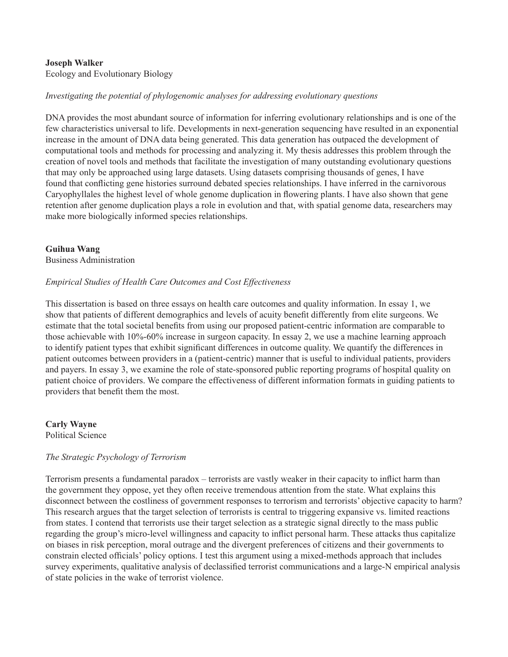# **Joseph Walker**

Ecology and Evolutionary Biology

# *Investigating the potential of phylogenomic analyses for addressing evolutionary questions*

DNA provides the most abundant source of information for inferring evolutionary relationships and is one of the few characteristics universal to life. Developments in next-generation sequencing have resulted in an exponential increase in the amount of DNA data being generated. This data generation has outpaced the development of computational tools and methods for processing and analyzing it. My thesis addresses this problem through the creation of novel tools and methods that facilitate the investigation of many outstanding evolutionary questions that may only be approached using large datasets. Using datasets comprising thousands of genes, I have found that conflicting gene histories surround debated species relationships. I have inferred in the carnivorous Caryophyllales the highest level of whole genome duplication in flowering plants. I have also shown that gene retention after genome duplication plays a role in evolution and that, with spatial genome data, researchers may make more biologically informed species relationships.

# **Guihua Wang**

Business Administration

# *Empirical Studies of Health Care Outcomes and Cost Effectiveness*

This dissertation is based on three essays on health care outcomes and quality information. In essay 1, we show that patients of different demographics and levels of acuity benefit differently from elite surgeons. We estimate that the total societal benefits from using our proposed patient-centric information are comparable to those achievable with 10%-60% increase in surgeon capacity. In essay 2, we use a machine learning approach to identify patient types that exhibit significant differences in outcome quality. We quantify the differences in patient outcomes between providers in a (patient-centric) manner that is useful to individual patients, providers and payers. In essay 3, we examine the role of state-sponsored public reporting programs of hospital quality on patient choice of providers. We compare the effectiveness of different information formats in guiding patients to providers that benefit them the most.

**Carly Wayne** Political Science

#### *The Strategic Psychology of Terrorism*

Terrorism presents a fundamental paradox – terrorists are vastly weaker in their capacity to inflict harm than the government they oppose, yet they often receive tremendous attention from the state. What explains this disconnect between the costliness of government responses to terrorism and terrorists' objective capacity to harm? This research argues that the target selection of terrorists is central to triggering expansive vs. limited reactions from states. I contend that terrorists use their target selection as a strategic signal directly to the mass public regarding the group's micro-level willingness and capacity to inflict personal harm. These attacks thus capitalize on biases in risk perception, moral outrage and the divergent preferences of citizens and their governments to constrain elected officials' policy options. I test this argument using a mixed-methods approach that includes survey experiments, qualitative analysis of declassified terrorist communications and a large-N empirical analysis of state policies in the wake of terrorist violence.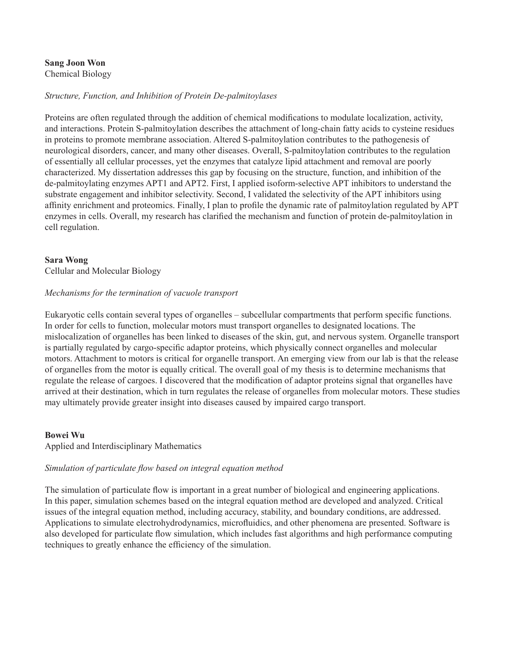#### **Sang Joon Won** Chemical Biology

# *Structure, Function, and Inhibition of Protein De-palmitoylases*

Proteins are often regulated through the addition of chemical modifications to modulate localization, activity, and interactions. Protein S-palmitoylation describes the attachment of long-chain fatty acids to cysteine residues in proteins to promote membrane association. Altered S-palmitoylation contributes to the pathogenesis of neurological disorders, cancer, and many other diseases. Overall, S-palmitoylation contributes to the regulation of essentially all cellular processes, yet the enzymes that catalyze lipid attachment and removal are poorly characterized. My dissertation addresses this gap by focusing on the structure, function, and inhibition of the de-palmitoylating enzymes APT1 and APT2. First, I applied isoform-selective APT inhibitors to understand the substrate engagement and inhibitor selectivity. Second, I validated the selectivity of the APT inhibitors using affinity enrichment and proteomics. Finally, I plan to profile the dynamic rate of palmitoylation regulated by APT enzymes in cells. Overall, my research has clarified the mechanism and function of protein de-palmitoylation in cell regulation.

# **Sara Wong**

Cellular and Molecular Biology

# *Mechanisms for the termination of vacuole transport*

Eukaryotic cells contain several types of organelles – subcellular compartments that perform specific functions. In order for cells to function, molecular motors must transport organelles to designated locations. The mislocalization of organelles has been linked to diseases of the skin, gut, and nervous system. Organelle transport is partially regulated by cargo-specific adaptor proteins, which physically connect organelles and molecular motors. Attachment to motors is critical for organelle transport. An emerging view from our lab is that the release of organelles from the motor is equally critical. The overall goal of my thesis is to determine mechanisms that regulate the release of cargoes. I discovered that the modification of adaptor proteins signal that organelles have arrived at their destination, which in turn regulates the release of organelles from molecular motors. These studies may ultimately provide greater insight into diseases caused by impaired cargo transport.

# **Bowei Wu**

# Applied and Interdisciplinary Mathematics

# *Simulation of particulate flow based on integral equation method*

The simulation of particulate flow is important in a great number of biological and engineering applications. In this paper, simulation schemes based on the integral equation method are developed and analyzed. Critical issues of the integral equation method, including accuracy, stability, and boundary conditions, are addressed. Applications to simulate electrohydrodynamics, microfluidics, and other phenomena are presented. Software is also developed for particulate flow simulation, which includes fast algorithms and high performance computing techniques to greatly enhance the efficiency of the simulation.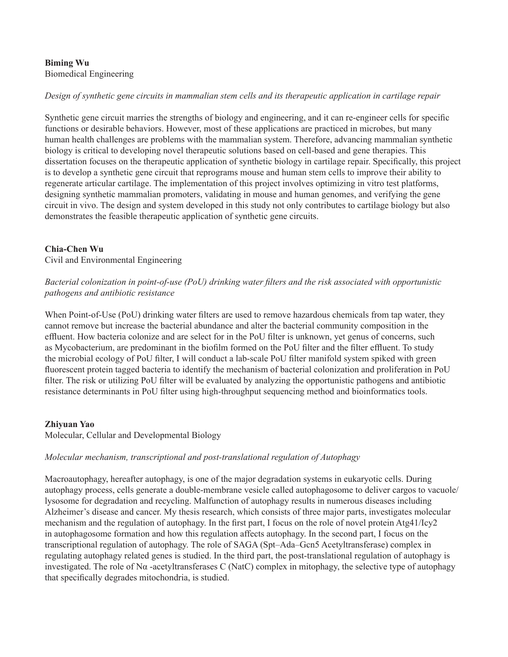# **Biming Wu** Biomedical Engineering

# *Design of synthetic gene circuits in mammalian stem cells and its therapeutic application in cartilage repair*

Synthetic gene circuit marries the strengths of biology and engineering, and it can re-engineer cells for specific functions or desirable behaviors. However, most of these applications are practiced in microbes, but many human health challenges are problems with the mammalian system. Therefore, advancing mammalian synthetic biology is critical to developing novel therapeutic solutions based on cell-based and gene therapies. This dissertation focuses on the therapeutic application of synthetic biology in cartilage repair. Specifically, this project is to develop a synthetic gene circuit that reprograms mouse and human stem cells to improve their ability to regenerate articular cartilage. The implementation of this project involves optimizing in vitro test platforms, designing synthetic mammalian promoters, validating in mouse and human genomes, and verifying the gene circuit in vivo. The design and system developed in this study not only contributes to cartilage biology but also demonstrates the feasible therapeutic application of synthetic gene circuits.

# **Chia-Chen Wu**

Civil and Environmental Engineering

# *Bacterial colonization in point-of-use (PoU) drinking water filters and the risk associated with opportunistic pathogens and antibiotic resistance*

When Point-of-Use (PoU) drinking water filters are used to remove hazardous chemicals from tap water, they cannot remove but increase the bacterial abundance and alter the bacterial community composition in the effluent. How bacteria colonize and are select for in the PoU filter is unknown, yet genus of concerns, such as Mycobacterium, are predominant in the biofilm formed on the PoU filter and the filter effluent. To study the microbial ecology of PoU filter, I will conduct a lab-scale PoU filter manifold system spiked with green fluorescent protein tagged bacteria to identify the mechanism of bacterial colonization and proliferation in PoU filter. The risk or utilizing PoU filter will be evaluated by analyzing the opportunistic pathogens and antibiotic resistance determinants in PoU filter using high-throughput sequencing method and bioinformatics tools.

# **Zhiyuan Yao**

Molecular, Cellular and Developmental Biology

# *Molecular mechanism, transcriptional and post-translational regulation of Autophagy*

Macroautophagy, hereafter autophagy, is one of the major degradation systems in eukaryotic cells. During autophagy process, cells generate a double-membrane vesicle called autophagosome to deliver cargos to vacuole/ lysosome for degradation and recycling. Malfunction of autophagy results in numerous diseases including Alzheimer's disease and cancer. My thesis research, which consists of three major parts, investigates molecular mechanism and the regulation of autophagy. In the first part, I focus on the role of novel protein Atg41/Icy2 in autophagosome formation and how this regulation affects autophagy. In the second part, I focus on the transcriptional regulation of autophagy. The role of SAGA (Spt–Ada–Gcn5 Acetyltransferase) complex in regulating autophagy related genes is studied. In the third part, the post-translational regulation of autophagy is investigated. The role of Nα -acetyltransferases C (NatC) complex in mitophagy, the selective type of autophagy that specifically degrades mitochondria, is studied.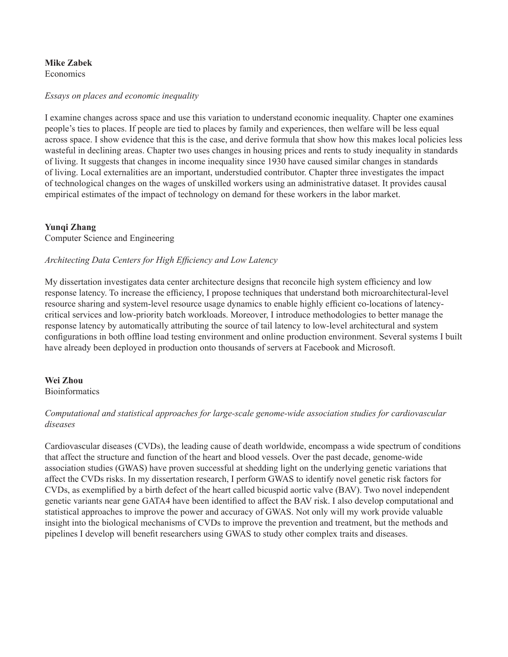#### **Mike Zabek Economics**

#### *Essays on places and economic inequality*

I examine changes across space and use this variation to understand economic inequality. Chapter one examines people's ties to places. If people are tied to places by family and experiences, then welfare will be less equal across space. I show evidence that this is the case, and derive formula that show how this makes local policies less wasteful in declining areas. Chapter two uses changes in housing prices and rents to study inequality in standards of living. It suggests that changes in income inequality since 1930 have caused similar changes in standards of living. Local externalities are an important, understudied contributor. Chapter three investigates the impact of technological changes on the wages of unskilled workers using an administrative dataset. It provides causal empirical estimates of the impact of technology on demand for these workers in the labor market.

# **Yunqi Zhang**

Computer Science and Engineering

# *Architecting Data Centers for High Efficiency and Low Latency*

My dissertation investigates data center architecture designs that reconcile high system efficiency and low response latency. To increase the efficiency, I propose techniques that understand both microarchitectural-level resource sharing and system-level resource usage dynamics to enable highly efficient co-locations of latencycritical services and low-priority batch workloads. Moreover, I introduce methodologies to better manage the response latency by automatically attributing the source of tail latency to low-level architectural and system configurations in both offline load testing environment and online production environment. Several systems I built have already been deployed in production onto thousands of servers at Facebook and Microsoft.

# **Wei Zhou**

**Bioinformatics** 

# *Computational and statistical approaches for large-scale genome-wide association studies for cardiovascular diseases*

Cardiovascular diseases (CVDs), the leading cause of death worldwide, encompass a wide spectrum of conditions that affect the structure and function of the heart and blood vessels. Over the past decade, genome-wide association studies (GWAS) have proven successful at shedding light on the underlying genetic variations that affect the CVDs risks. In my dissertation research, I perform GWAS to identify novel genetic risk factors for CVDs, as exemplified by a birth defect of the heart called bicuspid aortic valve (BAV). Two novel independent genetic variants near gene GATA4 have been identified to affect the BAV risk. I also develop computational and statistical approaches to improve the power and accuracy of GWAS. Not only will my work provide valuable insight into the biological mechanisms of CVDs to improve the prevention and treatment, but the methods and pipelines I develop will benefit researchers using GWAS to study other complex traits and diseases.